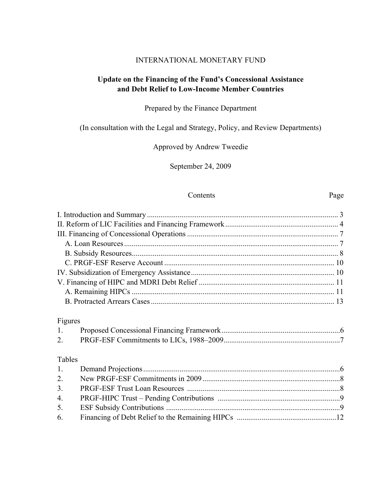#### INTERNATIONAL MONETARY FUND

# **Update on the Financing of the Fund's Concessional Assistance and Debt Relief to Low-Income Member Countries**

## Prepared by the Finance Department

# (In consultation with the Legal and Strategy, Policy, and Review Departments)

# Approved by Andrew Tweedie

September 24, 2009

#### Contents Page

|                  | Figures |  |
|------------------|---------|--|
| $1_{\cdot}$      |         |  |
| 2.               |         |  |
|                  |         |  |
| Tables           |         |  |
| 1.               |         |  |
| 2.               |         |  |
| 3.               |         |  |
| $\overline{4}$ . |         |  |
| 5.               |         |  |
| 6.               |         |  |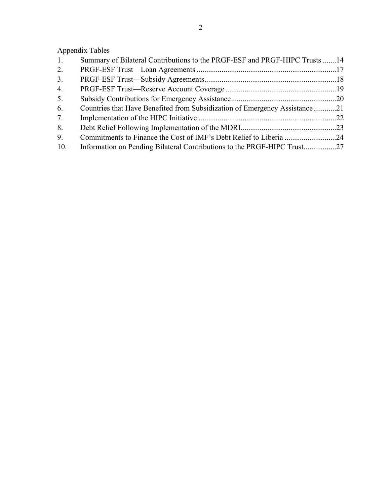Appendix Tables

| 1.  | Summary of Bilateral Contributions to the PRGF-ESF and PRGF-HIPC Trusts 14 |  |
|-----|----------------------------------------------------------------------------|--|
| 2.  |                                                                            |  |
| 3.  |                                                                            |  |
| 4.  |                                                                            |  |
| 5.  |                                                                            |  |
| 6.  | Countries that Have Benefited from Subsidization of Emergency Assistance21 |  |
| 7.  |                                                                            |  |
| 8.  |                                                                            |  |
| 9.  |                                                                            |  |
| 10. |                                                                            |  |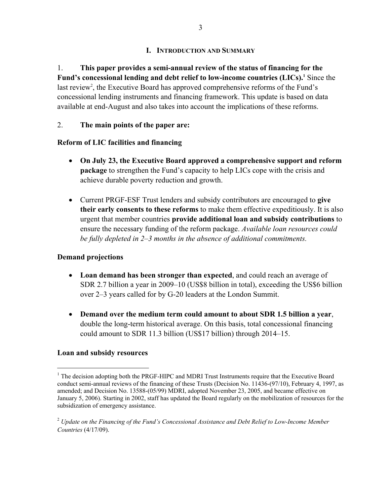# **I. INTRODUCTION AND SUMMARY**

1. **This paper provides a semi-annual review of the status of financing for the**  Fund's concessional lending and debt relief to low-income countries (LICs).<sup>1</sup> Since the last review<sup>2</sup>, the Executive Board has approved comprehensive reforms of the Fund's concessional lending instruments and financing framework. This update is based on data available at end-August and also takes into account the implications of these reforms.

2. **The main points of the paper are:**

# **Reform of LIC facilities and financing**

- **On July 23, the Executive Board approved a comprehensive support and reform package** to strengthen the Fund's capacity to help LICs cope with the crisis and achieve durable poverty reduction and growth.
- Current PRGF-ESF Trust lenders and subsidy contributors are encouraged to **give their early consents to these reforms** to make them effective expeditiously. It is also urgent that member countries **provide additional loan and subsidy contributions** to ensure the necessary funding of the reform package. *Available loan resources could be fully depleted in 2–3 months in the absence of additional commitments.*

# **Demand projections**

- **Loan demand has been stronger than expected**, and could reach an average of SDR 2.7 billion a year in 2009–10 (US\$8 billion in total), exceeding the US\$6 billion over 2–3 years called for by G-20 leaders at the London Summit.
- **Demand over the medium term could amount to about SDR 1.5 billion a year**, double the long-term historical average. On this basis, total concessional financing could amount to SDR 11.3 billion (US\$17 billion) through 2014–15.

## **Loan and subsidy resources**

1

<sup>&</sup>lt;sup>1</sup> The decision adopting both the PRGF-HIPC and MDRI Trust Instruments require that the Executive Board conduct semi-annual reviews of the financing of these Trusts (Decision No. 11436-(97/10), February 4, 1997, as amended; and Decision No. 13588-(05/99) MDRI, adopted November 23, 2005, and became effective on January 5, 2006). Starting in 2002, staff has updated the Board regularly on the mobilization of resources for the subsidization of emergency assistance.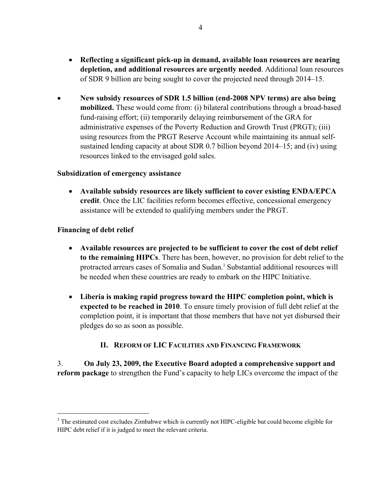- **Reflecting a significant pick-up in demand, available loan resources are nearing depletion, and additional resources are urgently needed**. Additional loan resources of SDR 9 billion are being sought to cover the projected need through 2014–15.
- **New subsidy resources of SDR 1.5 billion (end-2008 NPV terms) are also being mobilized.** These would come from: (i) bilateral contributions through a broad-based fund-raising effort; (ii) temporarily delaying reimbursement of the GRA for administrative expenses of the Poverty Reduction and Growth Trust (PRGT); (iii) using resources from the PRGT Reserve Account while maintaining its annual selfsustained lending capacity at about SDR 0.7 billion beyond 2014–15; and (iv) using resources linked to the envisaged gold sales.

#### **Subsidization of emergency assistance**

 **Available subsidy resources are likely sufficient to cover existing ENDA/EPCA credit**. Once the LIC facilities reform becomes effective, concessional emergency assistance will be extended to qualifying members under the PRGT.

## **Financing of debt relief**

 $\overline{a}$ 

- **Available resources are projected to be sufficient to cover the cost of debt relief to the remaining HIPCs**. There has been, however, no provision for debt relief to the protracted arrears cases of Somalia and Sudan.<sup>3</sup> Substantial additional resources will be needed when these countries are ready to embark on the HIPC Initiative.
- **Liberia is making rapid progress toward the HIPC completion point, which is expected to be reached in 2010**. To ensure timely provision of full debt relief at the completion point, it is important that those members that have not yet disbursed their pledges do so as soon as possible.

## **II. REFORM OF LIC FACILITIES AND FINANCING FRAMEWORK**

3. **On July 23, 2009, the Executive Board adopted a comprehensive support and reform package** to strengthen the Fund's capacity to help LICs overcome the impact of the

<sup>&</sup>lt;sup>3</sup> The estimated cost excludes Zimbabwe which is currently not HIPC-eligible but could become eligible for HIPC debt relief if it is judged to meet the relevant criteria.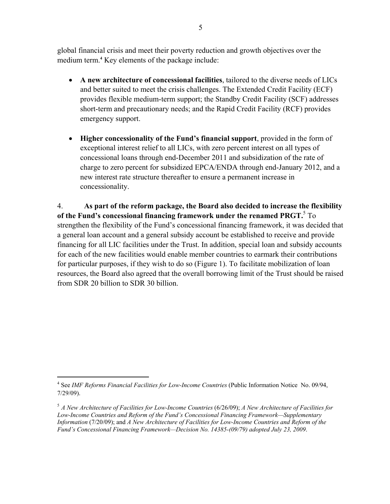global financial crisis and meet their poverty reduction and growth objectives over the medium term.<sup>4</sup> Key elements of the package include:

- **A new architecture of concessional facilities**, tailored to the diverse needs of LICs and better suited to meet the crisis challenges. The Extended Credit Facility (ECF) provides flexible medium-term support; the Standby Credit Facility (SCF) addresses short-term and precautionary needs; and the Rapid Credit Facility (RCF) provides emergency support.
- **Higher concessionality of the Fund's financial support**, provided in the form of exceptional interest relief to all LICs, with zero percent interest on all types of concessional loans through end-December 2011 and subsidization of the rate of charge to zero percent for subsidized EPCA/ENDA through end-January 2012, and a new interest rate structure thereafter to ensure a permanent increase in concessionality.

4. **As part of the reform package, the Board also decided to increase the flexibility of the Fund's concessional financing framework under the renamed PRGT.**<sup>5</sup> To strengthen the flexibility of the Fund's concessional financing framework, it was decided that a general loan account and a general subsidy account be established to receive and provide financing for all LIC facilities under the Trust. In addition, special loan and subsidy accounts for each of the new facilities would enable member countries to earmark their contributions for particular purposes, if they wish to do so (Figure 1). To facilitate mobilization of loan resources, the Board also agreed that the overall borrowing limit of the Trust should be raised from SDR 20 billion to SDR 30 billion.

 $\overline{a}$ 

<sup>4</sup> See *IMF Reforms Financial Facilities for Low-Income Countries* (Public Information Notice No. 09/94, 7/29/09).

<sup>5</sup> *A New Architecture of Facilities for Low-Income Countries* (6/26/09); *A New Architecture of Facilities for Low-Income Countries and Reform of the Fund's Concessional Financing Framework—Supplementary Information* (7/20/09); and *A New Architecture of Facilities for Low-Income Countries and Reform of the Fund's Concessional Financing Framework—Decision No. 14385-(09/79) adopted July 23, 2009*.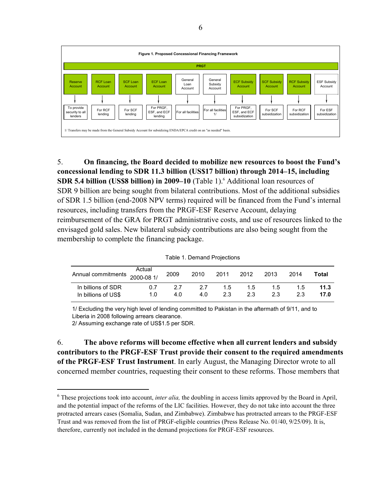

5. **On financing, the Board decided to mobilize new resources to boost the Fund's concessional lending to SDR 11.3 billion (US\$17 billion) through 2014–15, including SDR 5.4 billion (US\$8 billion) in 2009–10** (Table 1).<sup>6</sup> Additional loan resources of SDR 9 billion are being sought from bilateral contributions. Most of the additional subsidies of SDR 1.5 billion (end-2008 NPV terms) required will be financed from the Fund's internal resources, including transfers from the PRGF-ESF Reserve Account, delaying reimbursement of the GRA for PRGT administrative costs, and use of resources linked to the envisaged gold sales. New bilateral subsidy contributions are also being sought from the membership to complete the financing package.

|                               |        |      | <u>Fabio T. Domana Floiceach</u> |      |      |      |      |       |
|-------------------------------|--------|------|----------------------------------|------|------|------|------|-------|
| Annual commitments 2000-08 1/ | Actual | 2009 | 2010                             | 2011 | 2012 | 2013 | 2014 | Total |
| In billions of SDR            | 0.7    | 2.7  | 27                               | 1.5  | 1.5  | 1.5  | 1.5  | 11.3  |
| In billions of US\$           | 1.0    | 4.0  | 4.0                              | 2.3  | 2.3  | 2.3  | 2.3  | 17.0  |

Table 1. Demand Projections

1/ Excluding the very high level of lending committed to Pakistan in the aftermath of 9/11, and to Liberia in 2008 following arrears clearance.

2/ Assuming exchange rate of US\$1.5 per SDR.

1

6. **The above reforms will become effective when all current lenders and subsidy contributors to the PRGF-ESF Trust provide their consent to the required amendments of the PRGF-ESF Trust Instrument**. In early August, the Managing Director wrote to all concerned member countries, requesting their consent to these reforms. Those members that

<sup>&</sup>lt;sup>6</sup> These projections took into account, *inter alia*, the doubling in access limits approved by the Board in April, and the potential impact of the reforms of the LIC facilities. However, they do not take into account the three protracted arrears cases (Somalia, Sudan, and Zimbabwe). Zimbabwe has protracted arrears to the PRGF-ESF Trust and was removed from the list of PRGF-eligible countries (Press Release No. 01/40, 9/25/09). It is, therefore, currently not included in the demand projections for PRGF-ESF resources.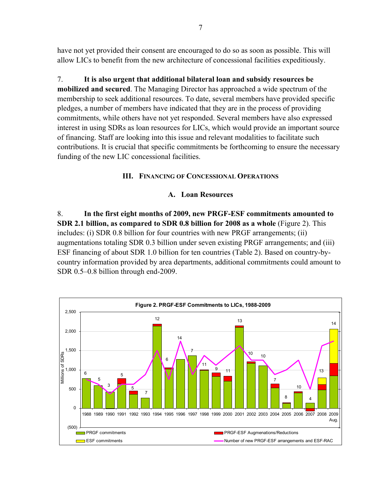have not yet provided their consent are encouraged to do so as soon as possible. This will allow LICs to benefit from the new architecture of concessional facilities expeditiously.

7. **It is also urgent that additional bilateral loan and subsidy resources be mobilized and secured**. The Managing Director has approached a wide spectrum of the membership to seek additional resources. To date, several members have provided specific pledges, a number of members have indicated that they are in the process of providing commitments, while others have not yet responded. Several members have also expressed interest in using SDRs as loan resources for LICs, which would provide an important source of financing. Staff are looking into this issue and relevant modalities to facilitate such contributions. It is crucial that specific commitments be forthcoming to ensure the necessary funding of the new LIC concessional facilities.

## **III. FINANCING OF CONCESSIONAL OPERATIONS**

# **A. Loan Resources**

8. **In the first eight months of 2009, new PRGF-ESF commitments amounted to SDR 2.1 billion, as compared to SDR 0.8 billion for 2008 as a whole** (Figure 2). This includes: (i) SDR 0.8 billion for four countries with new PRGF arrangements; (ii) augmentations totaling SDR 0.3 billion under seven existing PRGF arrangements; and (iii) ESF financing of about SDR 1.0 billion for ten countries (Table 2). Based on country-bycountry information provided by area departments, additional commitments could amount to SDR 0.5–0.8 billion through end-2009.

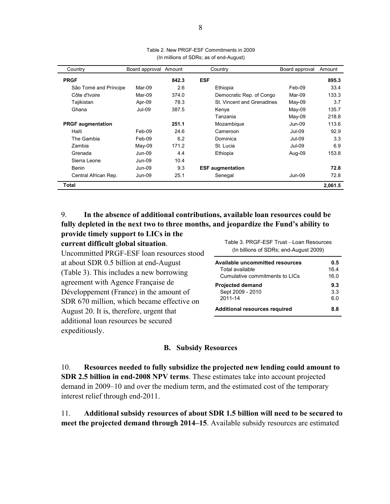| Country                  | Board approval Amount |       | Country                    | Board approval | Amount  |
|--------------------------|-----------------------|-------|----------------------------|----------------|---------|
| <b>PRGF</b>              |                       | 842.3 | <b>ESF</b>                 |                | 895.3   |
| São Tomé and Príncipe    | Mar-09                | 2.6   | Ethiopia                   | Feb-09         | 33.4    |
| Côte d'Ivoire            | Mar-09                | 374.0 | Democratic Rep. of Congo   | Mar-09         | 133.3   |
| Tajikistan               | Apr-09                | 78.3  | St. Vincent and Grenadines | May-09         | 3.7     |
| Ghana                    | $Jul-09$              | 387.5 | Kenya                      | $Mav-09$       | 135.7   |
|                          |                       |       | Tanzania                   | May-09         | 218.8   |
| <b>PRGF</b> augmentation |                       | 251.1 | Mozambique                 | $Jun-09$       | 113.6   |
| Haiti                    | Feb-09                | 24.6  | Cameroon                   | $Jul-09$       | 92.9    |
| The Gambia               | Feb-09                | 6.2   | Dominica                   | $Jul-09$       | 3.3     |
| Zambia                   | $Mav-09$              | 171.2 | St. Lucia                  | $Jul-09$       | 6.9     |
| Grenada                  | $Jun-09$              | 4.4   | Ethiopia                   | Aug-09         | 153.8   |
| Sierra Leone             | Jun-09                | 10.4  |                            |                |         |
| Benin                    | Jun-09                | 9.3   | <b>ESF</b> augmentation    |                | 72.8    |
| Central African Rep.     | Jun-09                | 25.1  | Senegal                    | Jun-09         | 72.8    |
| Total                    |                       |       |                            |                | 2,061.5 |

| Table 2. New PRGF-ESF Commitments in 2009 |
|-------------------------------------------|
| (In millions of SDRs; as of end-August)   |

#### 9. **In the absence of additional contributions, available loan resources could be fully depleted in the next two to three months, and jeopardize the Fund's ability to provide timely support to LICs in the**

| $P2$ and $P3$ suppose to $\overline{P}$ and $\overline{P}$ |  |
|------------------------------------------------------------|--|
| current difficult global situation.                        |  |

Uncommitted PRGF-ESF loan resources stood at about SDR 0.5 billion at end-August (Table 3). This includes a new borrowing agreement with Agence Française de Développement (France) in the amount of SDR 670 million, which became effective on August 20. It is, therefore, urgent that additional loan resources be secured expeditiously.

Table 3. PRGF-ESF Trust—Loan Resources (In billions of SDRs; end-August 2009)

| Available uncommitted resources      | 0.5  |
|--------------------------------------|------|
| Total available                      | 16.4 |
| Cumulative commitments to LICs       | 16.0 |
| <b>Projected demand</b>              | 9.3  |
| Sept 2009 - 2010                     | 3.3  |
| 2011-14                              | 60   |
| <b>Additional resources required</b> | 88   |

#### **B. Subsidy Resources**

10. **Resources needed to fully subsidize the projected new lending could amount to SDR 2.5 billion in end-2008 NPV terms**. These estimates take into account projected demand in 2009–10 and over the medium term, and the estimated cost of the temporary interest relief through end-2011.

11. **Additional subsidy resources of about SDR 1.5 billion will need to be secured to meet the projected demand through 2014–15**. Available subsidy resources are estimated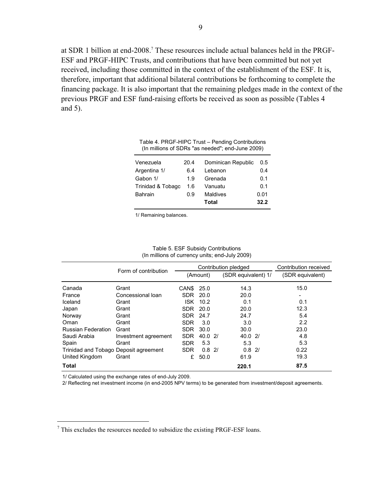at SDR 1 billion at end-2008.<sup>7</sup> These resources include actual balances held in the PRGF-ESF and PRGF-HIPC Trusts, and contributions that have been committed but not yet received, including those committed in the context of the establishment of the ESF. It is, therefore, important that additional bilateral contributions be forthcoming to complete the financing package. It is also important that the remaining pledges made in the context of the previous PRGF and ESF fund-raising efforts be received as soon as possible (Tables 4 and 5).

| Venezuela         | 20.4 | Dominican Republic | 0.5  |
|-------------------|------|--------------------|------|
| Argentina 1/      | 6.4  | Lebanon            | 0.4  |
| Gabon 1/          | 1.9  | Grenada            | 0.1  |
| Trinidad & Tobago | 1.6  | Vanuatu            | 0.1  |
| <b>Bahrain</b>    | 0.9  | Maldives           | 0.01 |
|                   |      | Total              | 32.2 |

Table 4. PRGF-HIPC Trust – Pending Contributions (In millions of SDRs "as needed"; end-June 2009)

1/ Remaining balances.

|                                       | Form of contribution |            | Contribution pledged |  | Contribution received |  |                  |
|---------------------------------------|----------------------|------------|----------------------|--|-----------------------|--|------------------|
|                                       |                      | (Amount)   |                      |  | (SDR equivalent) 1/   |  | (SDR equivalent) |
| Canada                                | Grant                | CAN\$      | 25.0                 |  | 14.3                  |  | 15.0             |
| France                                | Concessional Ioan    | SDR 20.0   |                      |  | 20.0                  |  |                  |
| Iceland                               | Grant                | <b>ISK</b> | 10.2                 |  | 0.1                   |  | 0.1              |
| Japan                                 | Grant                | <b>SDR</b> | 20.0                 |  | 20.0                  |  | 12.3             |
| Norway                                | Grant                | <b>SDR</b> | 24.7                 |  | 24.7                  |  | 5.4              |
| Oman                                  | Grant                | <b>SDR</b> | 3.0                  |  | 3.0                   |  | 2.2              |
| <b>Russian Federation</b>             | Grant                | <b>SDR</b> | 30.0                 |  | 30.0                  |  | 23.0             |
| Saudi Arabia                          | Investment agreement | <b>SDR</b> | 40.02                |  | 40.021                |  | 4.8              |
| Spain                                 | Grant                | <b>SDR</b> | 5.3                  |  | 5.3                   |  | 5.3              |
| Trinidad and Tobago Deposit agreement |                      | <b>SDR</b> | 0.82/                |  | $0.8$ 2/              |  | 0.22             |
| United Kingdom                        | Grant                | £          | 50.0                 |  | 61.9                  |  | 19.3             |
| Total                                 |                      |            |                      |  | 220.1                 |  | 87.5             |

Table 5. ESF Subsidy Contributions (In millions of currency units; end-July 2009)

1/ Calculated using the exchange rates of end-July 2009.

 $\overline{a}$ 

2/ Reflecting net investment income (in end-2005 NPV terms) to be generated from investment/deposit agreements.

 $7$  This excludes the resources needed to subsidize the existing PRGF-ESF loans.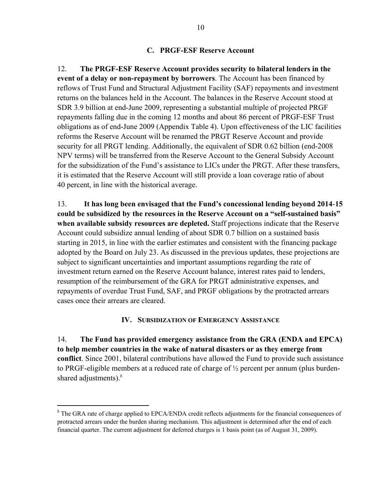#### **C. PRGF-ESF Reserve Account**

12. **The PRGF-ESF Reserve Account provides security to bilateral lenders in the event of a delay or non-repayment by borrowers**. The Account has been financed by reflows of Trust Fund and Structural Adjustment Facility (SAF) repayments and investment returns on the balances held in the Account. The balances in the Reserve Account stood at SDR 3.9 billion at end-June 2009, representing a substantial multiple of projected PRGF repayments falling due in the coming 12 months and about 86 percent of PRGF-ESF Trust obligations as of end-June 2009 (Appendix Table 4). Upon effectiveness of the LIC facilities reforms the Reserve Account will be renamed the PRGT Reserve Account and provide security for all PRGT lending. Additionally, the equivalent of SDR 0.62 billion (end-2008 NPV terms) will be transferred from the Reserve Account to the General Subsidy Account for the subsidization of the Fund's assistance to LICs under the PRGT. After these transfers, it is estimated that the Reserve Account will still provide a loan coverage ratio of about 40 percent, in line with the historical average.

13. **It has long been envisaged that the Fund's concessional lending beyond 2014**-**15 could be subsidized by the resources in the Reserve Account on a "self-sustained basis" when available subsidy resources are depleted.** Staff projections indicate that the Reserve Account could subsidize annual lending of about SDR 0.7 billion on a sustained basis starting in 2015, in line with the earlier estimates and consistent with the financing package adopted by the Board on July 23. As discussed in the previous updates, these projections are subject to significant uncertainties and important assumptions regarding the rate of investment return earned on the Reserve Account balance, interest rates paid to lenders, resumption of the reimbursement of the GRA for PRGT administrative expenses, and repayments of overdue Trust Fund, SAF, and PRGF obligations by the protracted arrears cases once their arrears are cleared.

#### **IV. SUBSIDIZATION OF EMERGENCY ASSISTANCE**

14. **The Fund has provided emergency assistance from the GRA (ENDA and EPCA) to help member countries in the wake of natural disasters or as they emerge from conflict**. Since 2001, bilateral contributions have allowed the Fund to provide such assistance to PRGF-eligible members at a reduced rate of charge of ½ percent per annum (plus burdenshared adjustments).<sup>8</sup>

 $\overline{a}$ 

<sup>&</sup>lt;sup>8</sup> The GRA rate of charge applied to EPCA/ENDA credit reflects adjustments for the financial consequences of protracted arrears under the burden sharing mechanism. This adjustment is determined after the end of each financial quarter. The current adjustment for deferred charges is 1 basis point (as of August 31, 2009).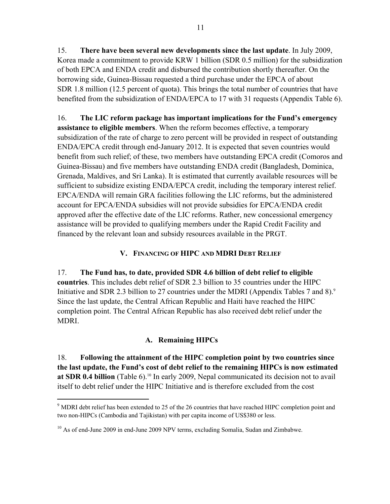15. **There have been several new developments since the last update**. In July 2009, Korea made a commitment to provide KRW 1 billion (SDR 0.5 million) for the subsidization of both EPCA and ENDA credit and disbursed the contribution shortly thereafter. On the borrowing side, Guinea-Bissau requested a third purchase under the EPCA of about SDR 1.8 million (12.5 percent of quota). This brings the total number of countries that have benefited from the subsidization of ENDA/EPCA to 17 with 31 requests (Appendix Table 6).

16. **The LIC reform package has important implications for the Fund's emergency assistance to eligible members**. When the reform becomes effective, a temporary subsidization of the rate of charge to zero percent will be provided in respect of outstanding ENDA/EPCA credit through end-January 2012. It is expected that seven countries would benefit from such relief; of these, two members have outstanding EPCA credit (Comoros and Guinea-Bissau) and five members have outstanding ENDA credit (Bangladesh, Dominica, Grenada, Maldives, and Sri Lanka). It is estimated that currently available resources will be sufficient to subsidize existing ENDA/EPCA credit, including the temporary interest relief. EPCA/ENDA will remain GRA facilities following the LIC reforms, but the administered account for EPCA/ENDA subsidies will not provide subsidies for EPCA/ENDA credit approved after the effective date of the LIC reforms. Rather, new concessional emergency assistance will be provided to qualifying members under the Rapid Credit Facility and financed by the relevant loan and subsidy resources available in the PRGT.

# **V. FINANCING OF HIPC AND MDRI DEBT RELIEF**

17. **The Fund has, to date, provided SDR 4.6 billion of debt relief to eligible countries**. This includes debt relief of SDR 2.3 billion to 35 countries under the HIPC Initiative and SDR 2.3 billion to 27 countries under the MDRI (Appendix Tables 7 and 8). $\degree$ Since the last update, the Central African Republic and Haiti have reached the HIPC completion point. The Central African Republic has also received debt relief under the MDRI.

# **A. Remaining HIPCs**

18. **Following the attainment of the HIPC completion point by two countries since the last update, the Fund's cost of debt relief to the remaining HIPCs is now estimated**  at SDR 0.4 billion (Table 6).<sup>10</sup> In early 2009, Nepal communicated its decision not to avail itself to debt relief under the HIPC Initiative and is therefore excluded from the cost

 $\overline{a}$ 

<sup>&</sup>lt;sup>9</sup> MDRI debt relief has been extended to 25 of the 26 countries that have reached HIPC completion point and two non-HIPCs (Cambodia and Tajikistan) with per capita income of US\$380 or less.

<sup>&</sup>lt;sup>10</sup> As of end-June 2009 in end-June 2009 NPV terms, excluding Somalia, Sudan and Zimbabwe.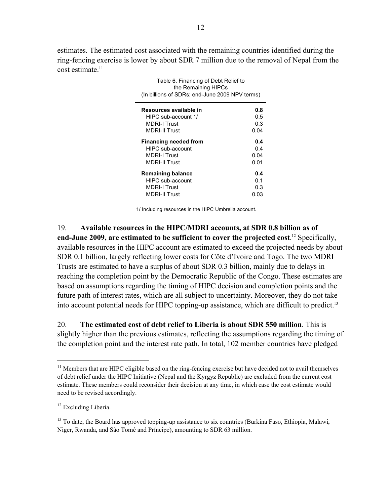estimates. The estimated cost associated with the remaining countries identified during the ring-fencing exercise is lower by about SDR 7 million due to the removal of Nepal from the  $cost$  estimate.<sup>11</sup>

> Table 6. Financing of Debt Relief to the Remaining HIPCs

| uit indirialilling i ill. Os<br>(In billions of SDRs; end-June 2009 NPV terms) |      |
|--------------------------------------------------------------------------------|------|
| Resources available in                                                         | 0.8  |
| HIPC sub-account 1/                                                            | 0.5  |
| <b>MDRI-I Trust</b>                                                            | 0.3  |
| <b>MDRI-II Trust</b>                                                           | 0.04 |
| <b>Financing needed from</b>                                                   | 0.4  |
| HIPC sub-account                                                               | 0.4  |
| <b>MDRI-I Trust</b>                                                            | 0.04 |
| <b>MDRI-II Trust</b>                                                           | 0.01 |
| <b>Remaining balance</b>                                                       | 0.4  |
| HIPC sub-account                                                               | 0.1  |
| <b>MDRI-I Trust</b>                                                            | 0.3  |
| <b>MDRI-II Trust</b>                                                           | 0.03 |

1/ Including resources in the HIPC Umbrella account.

19. **Available resources in the HIPC/MDRI accounts, at SDR 0.8 billion as of end-June 2009, are estimated to be sufficient to cover the projected cost**. 12 Specifically, available resources in the HIPC account are estimated to exceed the projected needs by about SDR 0.1 billion, largely reflecting lower costs for Côte d'Ivoire and Togo. The two MDRI Trusts are estimated to have a surplus of about SDR 0.3 billion, mainly due to delays in reaching the completion point by the Democratic Republic of the Congo. These estimates are based on assumptions regarding the timing of HIPC decision and completion points and the future path of interest rates, which are all subject to uncertainty. Moreover, they do not take into account potential needs for HIPC topping-up assistance, which are difficult to predict.13

20. **The estimated cost of debt relief to Liberia is about SDR 550 million**. This is slightly higher than the previous estimates, reflecting the assumptions regarding the timing of the completion point and the interest rate path. In total, 102 member countries have pledged

1

<sup>&</sup>lt;sup>11</sup> Members that are HIPC eligible based on the ring-fencing exercise but have decided not to avail themselves of debt relief under the HIPC Initiative (Nepal and the Kyrgyz Republic) are excluded from the current cost estimate. These members could reconsider their decision at any time, in which case the cost estimate would need to be revised accordingly.

<sup>&</sup>lt;sup>12</sup> Excluding Liberia.

<sup>&</sup>lt;sup>13</sup> To date, the Board has approved topping-up assistance to six countries (Burkina Faso, Ethiopia, Malawi, Niger, Rwanda, and São Tomé and Príncipe), amounting to SDR 63 million.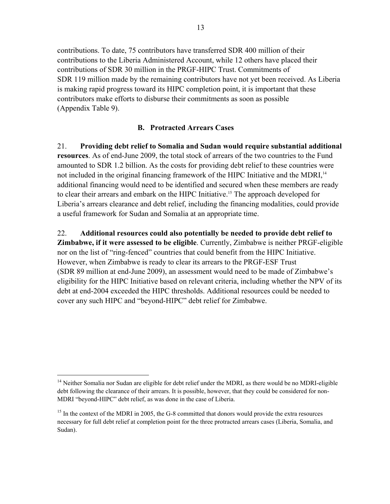contributions. To date, 75 contributors have transferred SDR 400 million of their contributions to the Liberia Administered Account, while 12 others have placed their contributions of SDR 30 million in the PRGF-HIPC Trust. Commitments of SDR 119 million made by the remaining contributors have not yet been received. As Liberia is making rapid progress toward its HIPC completion point, it is important that these contributors make efforts to disburse their commitments as soon as possible (Appendix Table 9).

# **B. Protracted Arrears Cases**

21. **Providing debt relief to Somalia and Sudan would require substantial additional resources**. As of end-June 2009, the total stock of arrears of the two countries to the Fund amounted to SDR 1.2 billion. As the costs for providing debt relief to these countries were not included in the original financing framework of the HIPC Initiative and the MDRI,<sup>14</sup> additional financing would need to be identified and secured when these members are ready to clear their arrears and embark on the HIPC Initiative.<sup>15</sup> The approach developed for Liberia's arrears clearance and debt relief, including the financing modalities, could provide a useful framework for Sudan and Somalia at an appropriate time.

22. **Additional resources could also potentially be needed to provide debt relief to Zimbabwe, if it were assessed to be eligible**. Currently, Zimbabwe is neither PRGF-eligible nor on the list of "ring-fenced" countries that could benefit from the HIPC Initiative. However, when Zimbabwe is ready to clear its arrears to the PRGF-ESF Trust (SDR 89 million at end-June 2009), an assessment would need to be made of Zimbabwe's eligibility for the HIPC Initiative based on relevant criteria, including whether the NPV of its debt at end-2004 exceeded the HIPC thresholds. Additional resources could be needed to cover any such HIPC and "beyond-HIPC" debt relief for Zimbabwe.

 $\overline{a}$ 

<sup>&</sup>lt;sup>14</sup> Neither Somalia nor Sudan are eligible for debt relief under the MDRI, as there would be no MDRI-eligible debt following the clearance of their arrears. It is possible, however, that they could be considered for non-MDRI "beyond-HIPC" debt relief, as was done in the case of Liberia.

 $15$  In the context of the MDRI in 2005, the G-8 committed that donors would provide the extra resources necessary for full debt relief at completion point for the three protracted arrears cases (Liberia, Somalia, and Sudan).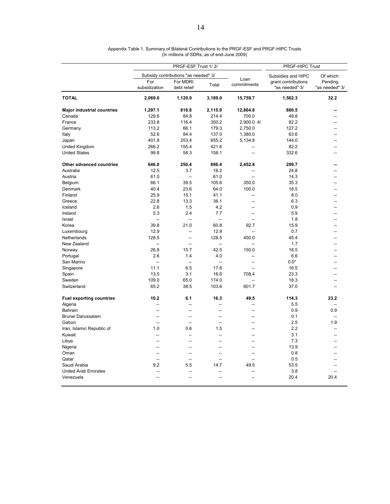|                                   |                          | PRGF-ESF Trust 1/2/                  | PRGF-HIPC Trust          |                     |                                       |                           |
|-----------------------------------|--------------------------|--------------------------------------|--------------------------|---------------------|---------------------------------------|---------------------------|
|                                   |                          | Subsidy contributions "as needed" 3/ |                          |                     | Subsidies and HIPC                    | Of which:                 |
|                                   | For<br>subsidization     | For MDRI<br>debt relief              | Total                    | Loan<br>commitments | grant contributions<br>"as needed" 3/ | Pending<br>"as needed" 3/ |
| <b>TOTAL</b>                      | 2,069.0                  | 1,120.0                              | 3,189.0                  | 15,759.7            | 1,562.3                               | 32.2                      |
| <b>Major industrial countries</b> | 1,297.1                  | 818.8                                | 2,115.9                  | 12,864.8            | 880.5                                 |                           |
| Canada                            | 129.6                    | 84.8                                 | 214.4                    | 700.0               | 48.8                                  | --                        |
| France                            | 233.8                    | 116.4                                | 350.2                    | 2,900.0 4/          | 82.2                                  | $\overline{a}$            |
| Germany                           | 113.2                    | 66.1                                 | 179.3                    | 2,750.0             | 127.2                                 |                           |
| Italy                             | 52.6                     | 84.4                                 | 137.0                    | 1,380.0             | 63.6                                  |                           |
| Japan                             | 401.8                    | 253.4                                | 655.2                    | 5,134.8             | 144.0                                 |                           |
| United Kingdom                    | 266.2                    | 155.4                                | 421.6                    |                     | 82.2                                  |                           |
| <b>United States</b>              | 99.8                     | 58.3                                 | 158.1                    | Ξ.                  | 332.6                                 |                           |
| Other advanced countries          | 646.0                    | 250.4                                | 896.4                    | 2,452.8             | 299.7                                 |                           |
| Australia                         | 12.5                     | 3.7                                  | 16.2                     | $\overline{a}$      | 24.8                                  | --                        |
| Austria                           | 61.0                     | $\overline{\phantom{a}}$             | 61.0                     | $\overline{a}$      | 14.3                                  |                           |
| Belgium                           | 66.1                     | 39.5                                 | 105.6                    | 350.0               | 35.3                                  | ٠.                        |
| Denmark                           | 40.4                     | 23.6                                 | 64.0                     | 100.0               | 18.5                                  | --                        |
| Finland                           | 25.9                     | 15.1                                 | 41.1                     | --                  | 8.0                                   |                           |
| Greece                            | 22.8                     | 13.3                                 | 36.1                     | $\sim$              | 6.3                                   |                           |
| Iceland                           | 2.6                      | 1.5                                  | 4.2                      | $\sim$              | 0.9                                   |                           |
| Ireland                           | 5.3                      | 2.4                                  | 7.7                      |                     | 5.9                                   |                           |
| Israel                            | $\overline{\phantom{a}}$ | $\overline{a}$                       | $\overline{\phantom{a}}$ | $\overline{a}$      | 1.8                                   | --                        |
| Korea                             | 39.8                     | 21.0                                 | 60.8                     | 92.7                | 15.9                                  | --                        |
| Luxembourg                        | 12.9                     | Ξ.                                   | 12.9                     | --                  | 0.7                                   |                           |
| Netherlands                       | 128.5                    | $\sim$                               | 128.5                    | 450.0               | 45.4                                  |                           |
| New Zealand                       | $\overline{\phantom{a}}$ | $\overline{\phantom{a}}$             | $\sim$                   | ÷.                  | 1.7                                   | --                        |
| Norway                            | 26.8                     | 15.7                                 | 42.5                     | 150.0               | 18.5                                  |                           |
| Portugal                          | 2.6                      | 1.4                                  | 4.0                      | $\overline{a}$      | 6.6                                   |                           |
| San Marino                        | $\sim$                   | $\sim$                               | $\sim$                   | $\overline{a}$      | $0.0*$                                | --                        |
| Singapore                         | 11.1                     | 6.5                                  | 17.6                     | Ξ.                  | 16.5                                  |                           |
| Spain                             | 13.5                     | 3.1                                  | 16.6                     | 708.4               | 23.3                                  |                           |
| Sweden                            | 109.0                    | 65.0                                 | 174.0                    | $\sim$              | 18.3                                  |                           |
| Switzerland                       | 65.2                     | 38.5                                 | 103.6                    | 601.7               | 37.0                                  |                           |
| <b>Fuel exporting countries</b>   | 10.2                     | 6.1                                  | 16.3                     | 49.5                | 114.3                                 | 23.2                      |
| Algeria                           | $\overline{a}$           |                                      | Ξ.                       | $\overline{a}$      | 5.5                                   | $\sim$                    |
| <b>Bahrain</b>                    | $\overline{\phantom{a}}$ | $\sim$                               | --                       | $\sim$              | 0.9                                   | 0.9                       |
| Brunei Darussalam                 | $\overline{a}$           | Ξ.                                   | --                       |                     | 0.1                                   | $\overline{\phantom{a}}$  |
| Gabon                             | $\sim$                   | $\overline{a}$                       | $\sim$                   | $\sim$              | 2.5                                   | 1.9                       |
| Iran, Islamic Republic of         | 1.0                      | 0.6                                  | 1.5                      | $\sim$              | 2.2                                   | ÷.                        |
| Kuwait                            | $\overline{a}$           | Ξ.                                   | --                       | --                  | 3.1                                   |                           |
| Libya                             | $\sim$                   | $\sim$                               | --                       | $\sim$              | 7.3                                   |                           |
| Nigeria                           | $\overline{\phantom{a}}$ | $\sim$                               | Ξ.                       | $\sim$              | 13.9                                  | $\sim$                    |
| Oman                              | $\overline{a}$           |                                      | ۵.                       |                     | 0.8                                   |                           |
| Qatar                             | $\sim$                   | $\sim$                               | $\overline{a}$           | $\overline{a}$      | 0.5                                   |                           |
| Saudi Arabia                      | 9.2                      | 5.5                                  | 14.7                     | 49.5                | 53.5                                  |                           |
| <b>United Arab Emirates</b>       | -−                       |                                      |                          |                     | 3.8                                   |                           |
| Venezuela                         | $\overline{\phantom{a}}$ | $\overline{a}$                       | $\overline{a}$           | $\overline{a}$      | 20.4                                  | 20.4                      |
|                                   |                          |                                      |                          |                     |                                       |                           |

Appendix Table 1. Summary of Bilateral Contributions to the PRGF-ESF and PRGF-HIPC Trusts (In millions of SDRs; as of end-June 2009)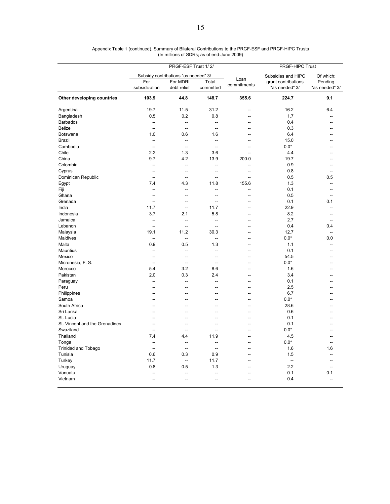|                                |                      | PRGF-ESF Trust 1/2/                  |                          |                     | PRGF-HIPC Trust                       |                           |
|--------------------------------|----------------------|--------------------------------------|--------------------------|---------------------|---------------------------------------|---------------------------|
|                                |                      | Subsidy contributions "as needed" 3/ |                          |                     | Subsidies and HIPC                    | Of which:                 |
|                                | For<br>subsidization | For MDRI<br>debt relief              | Total<br>committed       | Loan<br>commitments | grant contributions<br>"as needed" 3/ | Pending<br>"as needed" 3/ |
| Other developing countries     | 103.9                | 44.8                                 | 148.7                    | 355.6               | 224.7                                 | 9.1                       |
| Argentina                      | 19.7                 | 11.5                                 | 31.2                     |                     | 16.2                                  | 6.4                       |
| Bangladesh                     | 0.5                  | 0.2                                  | 0.8                      | ц,                  | 1.7                                   |                           |
| Barbados                       | --                   | $\overline{\phantom{a}}$             | $\overline{a}$           | $\sim$              | 0.4                                   |                           |
| <b>Belize</b>                  | --                   | --                                   | $\overline{\phantom{a}}$ | --                  | 0.3                                   |                           |
| Botswana                       | 1.0                  | 0.6                                  | 1.6                      | $\sim$              | 6.4                                   |                           |
| <b>Brazil</b>                  | $\sim$               | $\overline{a}$                       | $\overline{a}$           | --                  | 15.0                                  |                           |
| Cambodia                       | $\overline{a}$       | $\overline{a}$                       | $\overline{\phantom{a}}$ |                     | $0.0*$                                |                           |
| Chile                          | 2.2                  | 1.3                                  | 3.6                      | $\sim$              | 4.4                                   |                           |
| China                          | 9.7                  | 4.2                                  | 13.9                     | 200.0               | 19.7                                  |                           |
| Colombia                       | -−                   | --                                   | 44                       | --                  | 0.9                                   |                           |
| Cyprus                         | --                   | $\overline{\phantom{a}}$             | $\sim$                   | $\overline{a}$      | 0.8                                   | --                        |
| Dominican Republic             | --                   | ۵.                                   | ц,                       | $\overline{a}$      | 0.5                                   | 0.5                       |
| Egypt                          | 7.4                  | 4.3                                  | 11.8                     | 155.6               | 1.3                                   |                           |
| Fiji                           | $\overline{a}$       | $\overline{a}$                       | $\sim$                   | $\overline{a}$      | 0.1                                   | --                        |
| Ghana                          | Ξ.                   | --                                   | Ξ.                       | Ξ.                  | 0.5                                   |                           |
| Grenada                        | $\overline{a}$       | $\overline{a}$                       | $\sim$                   | $\sim$              | 0.1                                   | 0.1                       |
| India                          | 11.7                 | Ξ.                                   | 11.7                     |                     | 22.9                                  |                           |
|                                |                      |                                      |                          |                     | 8.2                                   |                           |
| Indonesia                      | 3.7                  | 2.1                                  | 5.8<br>$\overline{a}$    |                     | 2.7                                   |                           |
| Jamaica                        | --                   | $\overline{a}$                       |                          | $\overline{a}$      |                                       | --                        |
| Lebanon                        | $\overline{a}$       | $\overline{\phantom{a}}$             | 44                       | --                  | 0.4                                   | 0.4                       |
| Malaysia                       | 19.1                 | 11.2                                 | 30.3                     |                     | 12.7                                  | --                        |
| Maldives                       | $\overline{a}$       | $\overline{a}$                       | ÷.                       | $\sim$              | $0.0*$                                | 0.0                       |
| Malta                          | 0.9                  | 0.5                                  | 1.3                      | --                  | 1.1                                   |                           |
| <b>Mauritius</b>               | $\sim$               | --                                   | $\sim$                   | $\sim$              | 0.1                                   |                           |
| Mexico                         | $\overline{a}$       | $\overline{\phantom{a}}$             | $\overline{\phantom{a}}$ | $\overline{a}$      | 54.5                                  |                           |
| Micronesia, F. S.              | --                   | -−                                   | $\overline{\phantom{a}}$ | --                  | $0.0*$                                |                           |
| Morocco                        | 5.4                  | 3.2                                  | 8.6                      | $\overline{a}$      | 1.6                                   |                           |
| Pakistan                       | 2.0                  | 0.3                                  | 2.4                      | --                  | 3.4                                   |                           |
| Paraguay                       | --                   | --                                   | $\overline{a}$           | --                  | 0.1                                   |                           |
| Peru                           | $\overline{a}$       | --                                   | $\overline{a}$           | $\overline{a}$      | 2.5                                   |                           |
| Philippines                    | --                   | --                                   | --                       | $\overline{a}$      | 6.7                                   |                           |
| Samoa                          | $\overline{a}$       | --                                   | --                       | $\sim$              | $0.0*$                                |                           |
| South Africa                   | Ξ.                   | ۵.                                   | ÷.                       | Ξ.                  | 28.6                                  |                           |
| Sri Lanka                      |                      |                                      | Ξ.                       |                     | 0.6                                   |                           |
| St. Lucia                      | $\overline{a}$       | $\overline{a}$                       | $\overline{a}$           | $\overline{a}$      | 0.1                                   |                           |
| St. Vincent and the Grenadines | --                   | --                                   | --                       | --                  | 0.1                                   |                           |
| Swaziland                      | Ξ.                   | --                                   | 44                       | --                  | $0.0^{\star}$                         |                           |
| Thailand                       | 7.4                  | 4.4                                  | 11.9                     | $\overline{a}$      | 4.5                                   |                           |
| Tonga                          | --                   | --                                   | $\overline{a}$           | ۵.                  | $0.0*$                                |                           |
| <b>Trinidad and Tobago</b>     | $\overline{a}$       | $\overline{\phantom{a}}$             | $\overline{a}$           | $\sim$              | 1.6                                   | 1.6                       |
| Tunisia                        | 0.6                  | 0.3                                  | 0.9                      | Ξ.                  | 1.5                                   |                           |
| Turkey                         | 11.7                 | --                                   | 11.7                     |                     | $\overline{a}$                        |                           |
| Uruguay                        | 0.8                  | 0.5                                  | 1.3                      | $\overline{a}$      | 2.2                                   | --                        |
| Vanuatu                        |                      |                                      |                          |                     | 0.1                                   | 0.1                       |
| Vietnam                        | $\overline{a}$       | $\overline{\phantom{a}}$             | $\overline{a}$           | $\sim$              | 0.4                                   | $\overline{a}$            |
|                                |                      |                                      |                          |                     |                                       |                           |

Appendix Table 1 (continued). Summary of Bilateral Contributions to the PRGF-ESF and PRGF-HIPC Trusts (In millions of SDRs; as of end-June 2009)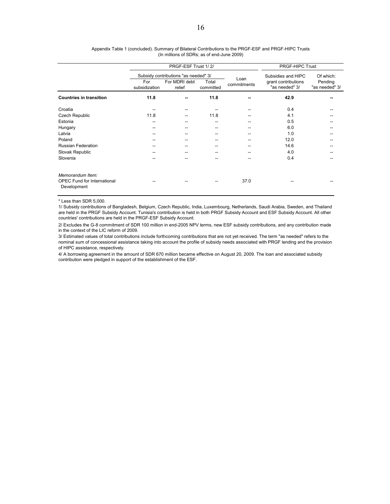|                                                                       | PRGF-ESF Trust 1/2/                  |                         |                    |                     | <b>PRGF-HIPC Trust</b>                |                           |  |  |
|-----------------------------------------------------------------------|--------------------------------------|-------------------------|--------------------|---------------------|---------------------------------------|---------------------------|--|--|
|                                                                       | Subsidy contributions "as needed" 3/ |                         |                    |                     | Subsidies and HIPC                    | Of which:                 |  |  |
|                                                                       | For<br>subsidization                 | For MDRI debt<br>relief | Total<br>committed | Loan<br>commitments | grant contributions<br>"as needed" 3/ | Pending<br>"as needed" 3/ |  |  |
| <b>Countries in transition</b>                                        | 11.8                                 |                         | 11.8               | --                  | 42.9                                  |                           |  |  |
| Croatia                                                               |                                      |                         |                    |                     | 0.4                                   |                           |  |  |
| Czech Republic                                                        | 11.8                                 | --                      | 11.8               |                     | 4.1                                   |                           |  |  |
| Estonia                                                               | --                                   |                         | --                 |                     | 0.5                                   |                           |  |  |
| Hungary                                                               | --                                   |                         |                    |                     | 6.0                                   |                           |  |  |
| Latvia                                                                |                                      |                         |                    |                     | 1.0                                   |                           |  |  |
| Poland                                                                | --                                   |                         | --                 |                     | 12.0                                  |                           |  |  |
| <b>Russian Federation</b>                                             | --                                   |                         |                    |                     | 14.6                                  |                           |  |  |
| Slovak Republic                                                       | --                                   |                         |                    |                     | 4.0                                   |                           |  |  |
| Slovenia                                                              | --                                   |                         |                    |                     | 0.4                                   |                           |  |  |
| Memorandum Item:<br><b>OPEC Fund for International</b><br>Development |                                      |                         |                    | 37.0                |                                       |                           |  |  |

#### (In millions of SDRs; as of end-June 2009) Appendix Table 1 (concluded). Summary of Bilateral Contributions to the PRGF-ESF and PRGF-HIPC Trusts

\* Less than SDR 5,000.

1/ Subsidy contributions of Bangladesh, Belgium, Czech Republic, India, Luxembourg, Netherlands, Saudi Arabia, Sweden, and Thailand are held in the PRGF Subsidy Account. Tunisia's contribution is held in both PRGF Subsidy Account and ESF Subsidy Account. All other countries' contributions are held in the PRGF-ESF Subsidy Account.

2/ Excludes the G-8 commitment of SDR 100 million in end-2005 NPV terms, new ESF subsidy contributions, and any contribution made in the context of the LIC reform of 2009.

3/ Estimated values of total contributions include forthcoming contributions that are not yet received. The term "as needed" refers to the nominal sum of concessional assistance taking into account the profile of subsidy needs associated with PRGF lending and the provision of HIPC assistance, respectively.

4/ A borrowing agreement in the amount of SDR 670 million became effective on August 20, 2009. The loan and associated subsidy contribution were pledged in support of the establishment of the ESF.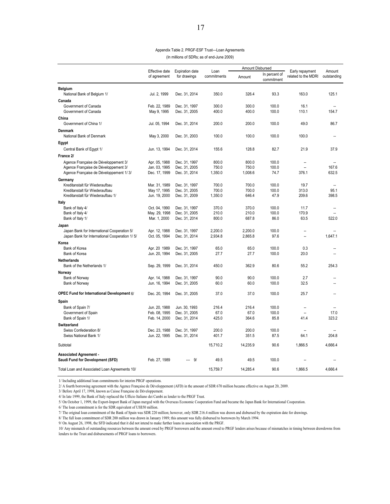#### Appendix Table 2. PRGF-ESF Trust—Loan Agreements

(In millions of SDRs; as of end-June 2009)

|                                                                  |                                |                                        |                     | Amount Disbursed |                             |                                        | Amount                           |
|------------------------------------------------------------------|--------------------------------|----------------------------------------|---------------------|------------------|-----------------------------|----------------------------------------|----------------------------------|
|                                                                  | Effective date<br>of agreement | <b>Expiration date</b><br>for drawings | Loan<br>commitments | Amount           | In percent of<br>commitment | Early repayment<br>related to the MDRI | outstanding                      |
| <b>Belgium</b>                                                   |                                |                                        |                     |                  |                             |                                        |                                  |
| National Bank of Belgium 1/                                      | Jul. 2, 1999                   | Dec. 31, 2014                          | 350.0               | 326.4            | 93.3                        | 163.0                                  | 125.1                            |
| Canada                                                           |                                |                                        |                     |                  |                             |                                        |                                  |
| Government of Canada                                             | Feb. 22, 1989                  | Dec. 31, 1997                          | 300.0               | 300.0            | 100.0                       | 16.1                                   |                                  |
| Government of Canada                                             | May 9, 1995                    | Dec. 31, 2005                          | 400.0               | 400.0            | 100.0                       | 110.1                                  | 154.7                            |
| China                                                            |                                |                                        |                     |                  |                             |                                        |                                  |
| Government of China 1/                                           | Jul. 05, 1994                  | Dec. 31, 2014                          | 200.0               | 200.0            | 100.0                       | 49.0                                   | 86.7                             |
| <b>Denmark</b>                                                   |                                |                                        |                     |                  |                             |                                        |                                  |
| National Bank of Denmark                                         | May 3, 2000                    | Dec. 31, 2003                          | 100.0               | 100.0            | 100.0                       | 100.0                                  |                                  |
| Egypt                                                            |                                |                                        |                     |                  |                             |                                        |                                  |
| Central Bank of Egypt 1/                                         | Jun. 13, 1994                  | Dec. 31, 2014                          | 155.6               | 128.8            | 82.7                        | 21.9                                   | 37.9                             |
| France 2/                                                        |                                |                                        |                     |                  |                             |                                        |                                  |
| Agence Française de Développement 3/                             | Apr. 05, 1988                  | Dec. 31, 1997                          | 800.0               | 800.0            | 100.0                       | $\overline{\phantom{a}}$               |                                  |
| Agence Française de Développement 3/                             | Jan. 03, 1995                  | Dec. 31, 2005                          | 750.0               | 750.0            | 100.0                       | $\overline{\phantom{a}}$               | 167.6                            |
| Agence Française de Développement 1/3/                           | Dec. 17, 1999                  | Dec. 31, 2014                          | 1,350.0             | 1,008.6          | 74.7                        | 376.1                                  | 632.5                            |
| Germany                                                          |                                |                                        |                     |                  |                             |                                        |                                  |
| Kreditanstalt für Wiederaufbau<br>Kreditanstalt für Wiederaufbau | Mar. 31, 1989                  | Dec. 31, 1997                          | 700.0<br>700.0      | 700.0<br>700.0   | 100.0<br>100.0              | 19.7<br>313.0                          | $\overline{\phantom{a}}$<br>95.1 |
| Kreditanstalt für Wiederaufbau 1/                                | May 17, 1995<br>Jun. 19, 2000  | Dec. 31, 2005<br>Dec. 31, 2009         | 1,350.0             | 646.4            | 47.9                        | 209.6                                  | 398.5                            |
| Italy                                                            |                                |                                        |                     |                  |                             |                                        |                                  |
| Bank of Italy 4/                                                 | Oct. 04, 1990                  | Dec. 31, 1997                          | 370.0               | 370.0            | 100.0                       | 11.7                                   |                                  |
| Bank of Italy 4/                                                 | May. 29, 1998                  | Dec. 31, 2005                          | 210.0               | 210.0            | 100.0                       | 170.9                                  | $\overline{\phantom{a}}$         |
| Bank of Italy 1/                                                 | Mar. 1, 2000                   | Dec. 31, 2014                          | 800.0               | 687.8            | 86.0                        | 63.5                                   | 522.0                            |
| Japan                                                            |                                |                                        |                     |                  |                             |                                        |                                  |
| Japan Bank for International Cooperation 5/                      | Apr. 12, 1988                  | Dec. 31, 1997                          | 2,200.0             | 2,200.0          | 100.0                       |                                        |                                  |
| Japan Bank for International Cooperation 1/5/                    | Oct. 05, 1994                  | Dec. 31, 2014                          | 2,934.8             | 2,865.8          | 97.6                        | $\overline{a}$                         | 1.647.1                          |
| Korea                                                            |                                |                                        |                     |                  |                             |                                        |                                  |
| Bank of Korea                                                    | Apr. 20 1989                   | Dec. 31, 1997                          | 65.0                | 65.0             | 100.0                       | 0.3                                    |                                  |
| Bank of Korea                                                    | Jun. 20, 1994                  | Dec. 31, 2005                          | 27.7                | 27.7             | 100.0                       | 20.0                                   |                                  |
| <b>Netherlands</b>                                               |                                |                                        |                     |                  |                             |                                        |                                  |
| Bank of the Netherlands 1/                                       | Sep. 29, 1999                  | Dec. 31, 2014                          | 450.0               | 362.9            | 80.6                        | 55.2                                   | 254.3                            |
| Norway                                                           |                                |                                        |                     |                  |                             |                                        |                                  |
| Bank of Norway<br>Bank of Norway                                 | Apr. 14, 1988<br>Jun. 16, 1994 | Dec. 31, 1997<br>Dec. 31, 2005         | 90.0<br>60.0        | 90.0<br>60.0     | 100.0<br>100.0              | 2.7<br>32.5                            |                                  |
|                                                                  |                                |                                        |                     |                  |                             |                                        |                                  |
| <b>OPEC Fund for International Development 6/</b>                | Dec. 20, 1994                  | Dec. 31, 2005                          | 37.0                | 37.0             | 100.0                       | 25.7                                   |                                  |
| Spain                                                            |                                |                                        |                     |                  |                             |                                        |                                  |
| Bank of Spain 7/                                                 | Jun. 20, 1988                  | Jun. 30, 1993                          | 216.4               | 216.4            | 100.0                       | $\overline{\phantom{a}}$               |                                  |
| Government of Spain                                              | Feb. 08, 1995                  | Dec. 31, 2005                          | 67.0                | 67.0             | 100.0                       | $\overline{\phantom{a}}$               | 17.0                             |
| Bank of Spain 1/                                                 | Feb. 14, 2000                  | Dec. 31, 2014                          | 425.0               | 364.6            | 85.8                        | 41.4                                   | 323.2                            |
| Switzerland                                                      |                                |                                        |                     |                  |                             |                                        |                                  |
| Swiss Confederation 8/                                           | Dec. 23, 1988                  | Dec. 31, 1997                          | 200.0               | 200.0            | 100.0                       | $\overline{\phantom{a}}$               |                                  |
| Swiss National Bank 1/                                           | Jun. 22, 1995                  | Dec. 31, 2014                          | 401.7               | 351.5            | 87.5                        | 64.1                                   | 204.8                            |
| Subtotal                                                         |                                |                                        | 15,710.2            | 14,235.9         | 90.6                        | 1,866.5                                | 4,666.4                          |
| <b>Associated Agreement -</b>                                    |                                |                                        |                     |                  |                             |                                        |                                  |
| Saudi Fund for Development (SFD)                                 | Feb. 27, 1989                  | 9/                                     | 49.5                | 49.5             | 100.0                       |                                        |                                  |
| Total Loan and Associated Loan Agreements 10/                    |                                |                                        | 15,759.7            | 14,285.4         | 90.6                        | 1,866.5                                | 4,666.4                          |

1/ Including additional loan commitments for interim PRGF operations.

2/ A fourth borrowing agreement with the Agence Française de Développement (AFD) in the amount of SDR 670 million became effective on August 20, 2009.

3/ Before April 17, 1998, known as Caisse Française de Développement.

4/ In late 1999, the Bank of Italy replaced the Ufficio Italiano dei Cambi as lender to the PRGF Trust.

5/ On October 1, 1999, the Export-Import Bank of Japan merged with the Overseas Economic Cooperation Fund and became the Japan Bank for International Cooperation.

6/ The loan commitment is for the SDR equivalent of US\$50 million.

7/ The original loan commitment of the Bank of Spain was SDR 220 million; however, only SDR 216.4 million was drawn and disbursed by the expiration date for drawings.

8/ The full loan commitment of SDR 200 million was drawn in January 1989; this amount was fully disbursed to borrowers by March 1994.

9/ On August 26, 1998, the SFD indicated that it did not intend to make further loans in association with the PRGF.

10/ Any mismatch of outstanding resources between the amount owed by PRGF borrowers and the amount owed to PRGF lenders arises because of mismatches in timing between drawdowns from lenders to the Trust and disbursements of PRGF loans to borrowers.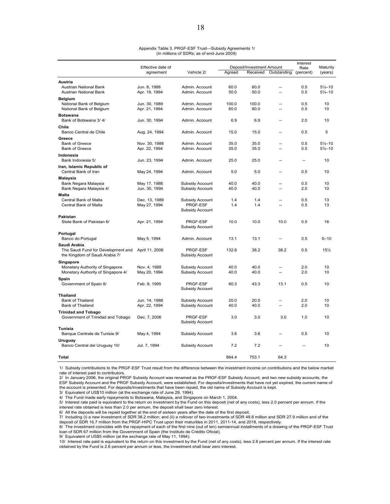|                                                 | Effective date of             |                                    |              | Deposit/Investment Amount |                | Interest<br>Rate | Maturity            |
|-------------------------------------------------|-------------------------------|------------------------------------|--------------|---------------------------|----------------|------------------|---------------------|
|                                                 | agreement                     | Vehicle 2/                         | Agreed       | Received                  | Outstanding    | (percent)        | (years)             |
| Austria                                         |                               |                                    |              |                           |                |                  |                     |
| <b>Austrian National Bank</b>                   | Jun. 8, 1988                  | Admin. Account                     | 60.0         | 60.0                      | $\sim$         | 0.5              | $5\frac{1}{2}$ -10  |
| <b>Austrian National Bank</b>                   | Apr. 19, 1994                 | Admin. Account                     | 50.0         | 50.0                      | $\overline{a}$ | 0.5              | $5\frac{1}{2} - 10$ |
| <b>Belgium</b>                                  |                               |                                    |              |                           |                |                  |                     |
| National Bank of Belgium                        | Jun. 30, 1989                 | Admin. Account                     | 100.0        | 100.0                     | Ξ.             | 0.5              | 10                  |
| National Bank of Belgium                        | Apr. 21, 1994                 | Admin. Account                     | 80.0         | 80.0                      | ц.             | 0.5              | 10                  |
| <b>Botswana</b>                                 |                               |                                    |              |                           |                |                  |                     |
| Bank of Botswana 3/4/                           | Jun. 30, 1994                 | Admin. Account                     | 6.9          | 6.9                       | $\sim$         | 2.0              | 10                  |
| Chile                                           |                               |                                    |              |                           |                |                  |                     |
| Banco Central de Chile                          | Aug. 24, 1994                 | Admin. Account                     | 15.0         | 15.0                      | --             | 0.5              | 5                   |
| Greece                                          |                               |                                    |              |                           |                |                  |                     |
| Bank of Greece                                  | Nov. 30, 1988                 | Admin. Account                     | 35.0         | 35.0                      | $\overline{a}$ | 0.5              | $5\frac{1}{2}$ -10  |
| <b>Bank of Greece</b>                           | Apr. 22, 1994                 | Admin. Account                     | 35.0         | 35.0                      | Ξ.             | 0.5              | $5\frac{1}{2}$ -10  |
| Indonesia                                       |                               |                                    |              |                           |                |                  |                     |
| Bank Indonesia 5/                               | Jun. 23, 1994                 | Admin. Account                     | 25.0         | 25.0                      | $\sim$         | $\sim$           | 10                  |
| Iran, Islamic Republic of                       |                               |                                    |              |                           |                |                  |                     |
| Central Bank of Iran                            | May 24, 1994                  | Admin, Account                     | 5.0          | 5.0                       | $\overline{a}$ | 0.5              | 10                  |
| Malaysia                                        |                               |                                    | 40.0         | 40.0                      | $\overline{a}$ | 0.5              | 10                  |
| Bank Negara Malaysia<br>Bank Negara Malaysia 4/ | May 17, 1988<br>Jun. 30, 1994 | Subsidy Account<br>Subsidy Account | 40.0         | 40.0                      | $\overline{a}$ | 2.0              | 10                  |
| Malta                                           |                               |                                    |              |                           |                |                  |                     |
| Central Bank of Malta                           | Dec. 13, 1989                 | Subsidy Account                    | 1.4          | 1.4                       | $\overline{a}$ | 0.5              | 13                  |
| Central Bank of Malta                           | May 27, 1994                  | PRGF-ESF                           | 1.4          | 1.4                       | $\overline{a}$ | 0.5              | 13                  |
|                                                 |                               | Subsidy Account                    |              |                           |                |                  |                     |
| Pakistan                                        |                               |                                    |              |                           |                |                  |                     |
| State Bank of Pakistan 6/                       | Apr. 21, 1994                 | PRGF-ESF                           | 10.0         | 10.0                      | 10.0           | 0.5              | 16                  |
|                                                 |                               | Subsidy Account                    |              |                           |                |                  |                     |
| Portugal                                        |                               |                                    |              |                           |                |                  |                     |
| Banco do Portugal                               | May 5, 1994                   | Admin. Account                     | 13.1         | 13.1                      | Ξ.             | 0.5              | $6 - 10$            |
| Saudi Arabia                                    |                               |                                    |              |                           |                |                  |                     |
| The Saudi Fund for Development and              | April 11, 2006                | PRGF-ESF                           | 132.6        | 38.2                      | 38.2           | 0.5              | 15%                 |
| the Kingdom of Saudi Arabia 7/                  |                               | Subsidy Account                    |              |                           |                |                  |                     |
| Singapore                                       |                               |                                    |              |                           |                |                  |                     |
| Monetary Authority of Singapore                 | Nov. 4, 1988                  | Subsidy Account                    | 40.0<br>40.0 | 40.0<br>40.0              | ц.             | 2.0<br>2.0       | 10<br>10            |
| Monetary Authority of Singapore 4/              | May 20, 1994                  | Subsidy Account                    |              |                           |                |                  |                     |
| Spain<br>Government of Spain 8/                 | Feb. 8, 1995                  | PRGF-ESF                           | 60.3         | 43.3                      | 13.1           | 0.5              | 10                  |
|                                                 |                               | Subsidy Account                    |              |                           |                |                  |                     |
| <b>Thailand</b>                                 |                               |                                    |              |                           |                |                  |                     |
| Bank of Thailand                                | Jun. 14, 1988                 | Subsidy Account                    | 20.0         | 20.0                      | $\overline{a}$ | 2.0              | 10                  |
| Bank of Thailand                                | Apr. 22, 1994                 | Subsidy Account                    | 40.0         | 40.0                      | $\sim$ $\sim$  | 2.0              | 10                  |
| <b>Trinidad and Tobago</b>                      |                               |                                    |              |                           |                |                  |                     |
| Government of Trinidad and Tobago               | Dec. 7, 2006                  | PRGF-ESF                           | 3.0          | 3.0                       | 3.0            | 1.0              | 10                  |
|                                                 |                               | Subsidy Account                    |              |                           |                |                  |                     |
| Tunisia                                         |                               |                                    |              |                           |                |                  |                     |
| Banque Centrale de Tunisie 9/                   | May 4, 1994                   | Subsidy Account                    | 3.6          | 3.6                       | --             | 0.5              | 10                  |
| Uruguay                                         |                               |                                    |              |                           |                |                  |                     |
| Banco Central del Uruguay 10/                   | Jul. 7, 1994                  | Subsidy Account                    | 7.2          | 7.2                       |                |                  | 10                  |
|                                                 |                               |                                    |              |                           |                |                  |                     |
| Total                                           |                               |                                    | 864.4        | 753.1                     | 64.3           |                  |                     |

#### Appendix Table 3. PRGF-ESF Trust—Subsidy Agreements 1/ (In millions of SDRs; as of end-June 2009)

1/ Subsidy contributions to the PRGF-ESF Trust result from the difference between the investment income on contributions and the below market rate of interest paid to contributors.

2/ In January 2006, the original PRGF Subsidy Account was renamed as the PRGF-ESF Subsidy Account, and two new subsidy accounts, the ESF Subsidy Account and the PRGF Subsidy Account, were established. For deposits/investments that have not yet expired, the current name of the account is presented. For deposits/investments that have been repaid, the old name of Subsidy Account is kept.

3/ Equivalent of US\$10 million (at the exchange rate of June 29, 1994).

4/ The Fund made early repayments to Botswana, Malaysia, and Singapore on March 1, 2004.

5/ Interest rate paid is equivalent to the return on investment by the Fund on this deposit (net of any costs), less 2.0 percent per annum. If the interest rate obtained is less than 2.0 per annum, the deposit shall bear zero interest.

6/ All the deposits will be repaid together at the end of sixteen years after the date of the first deposit.

7/ Including (i) a new investment of SDR 38.2 million; and (ii) a rollover of two investments of SDR 49.8 million and SDR 27.9 million and of the deposit of SDR 16.7 million from the PRGF-HIPC Trust upon their maturities in 2011, 2011-14, and 2018, respectively.

8/ The investment coincides with the repayment of each of the first nine (out of ten) semiannual installments of a drawing of the PRGF-ESF Trust loan of SDR 67 million from the Government of Spain (the Instituto de Crédito Oficial).

9/ Equivalent of US\$5 million (at the exchange rate of May 11, 1994).

10/ Interest rate paid is equivalent to the return on this investment by the Fund (net of any costs), less 2.6 percent per annum. If the interest rate obtained by the Fund is 2.6 percent per annum or less, the investment shall bear zero interest.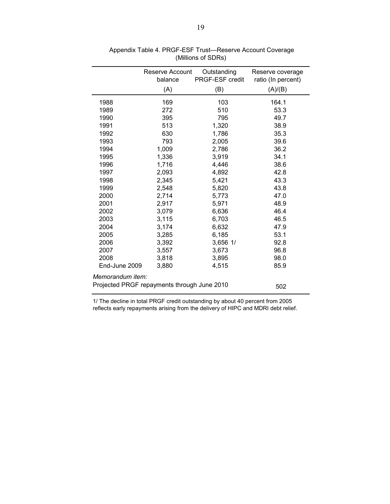|                                                    | Reserve Account<br>balance | Outstanding<br>PRGF-ESF credit | Reserve coverage<br>ratio (In percent) |  |  |  |
|----------------------------------------------------|----------------------------|--------------------------------|----------------------------------------|--|--|--|
|                                                    | (A)                        | (B)                            | (A)/(B)                                |  |  |  |
| 1988                                               | 169                        | 103                            | 164.1                                  |  |  |  |
| 1989                                               | 272                        | 510                            | 53.3                                   |  |  |  |
| 1990                                               | 395                        | 795                            | 49.7                                   |  |  |  |
| 1991                                               | 513                        | 1,320                          | 38.9                                   |  |  |  |
| 1992                                               | 630                        | 1,786                          | 35.3                                   |  |  |  |
| 1993                                               | 793                        | 2,005                          | 39.6                                   |  |  |  |
| 1994                                               | 1,009                      | 2,786                          | 36.2                                   |  |  |  |
| 1995                                               | 1,336                      | 3,919                          | 34.1                                   |  |  |  |
| 1996                                               | 1,716                      | 4,446                          | 38.6                                   |  |  |  |
| 1997                                               | 2,093                      | 4,892                          | 42.8                                   |  |  |  |
| 1998                                               | 2,345                      | 5,421                          | 43.3                                   |  |  |  |
| 1999                                               | 2,548                      | 5,820                          | 43.8                                   |  |  |  |
| 2000                                               | 2,714                      | 5,773                          | 47.0                                   |  |  |  |
| 2001                                               | 2,917                      | 5,971                          | 48.9                                   |  |  |  |
| 2002                                               | 3,079                      | 6,636                          | 46.4                                   |  |  |  |
| 2003                                               | 3,115                      | 6,703                          | 46.5                                   |  |  |  |
| 2004                                               | 3,174                      | 6,632                          | 47.9                                   |  |  |  |
| 2005                                               | 3,285                      | 6,185                          | 53.1                                   |  |  |  |
| 2006                                               | 3,392                      | 3,656 1/                       | 92.8                                   |  |  |  |
| 2007                                               | 3,557                      | 3,673                          | 96.8                                   |  |  |  |
| 2008                                               | 3,818                      | 3,895                          | 98.0                                   |  |  |  |
| End-June 2009                                      | 3,880                      | 4,515                          | 85.9                                   |  |  |  |
| Memorandum item:                                   |                            |                                |                                        |  |  |  |
| Projected PRGF repayments through June 2010<br>502 |                            |                                |                                        |  |  |  |
|                                                    |                            |                                |                                        |  |  |  |

 Appendix Table 4. PRGF-ESF Trust—Reserve Account Coverage (Millions of SDRs)

1/ The decline in total PRGF credit outstanding by about 40 percent from 2005 reflects early repayments arising from the delivery of HIPC and MDRI debt relief.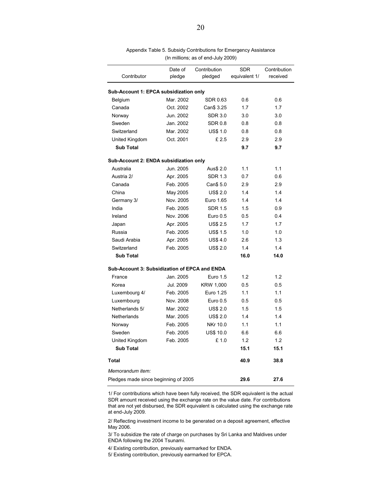| Contributor                                   | Date of<br>pledge | Contribution<br>pledged | <b>SDR</b><br>equivalent 1/ | Contribution<br>received |
|-----------------------------------------------|-------------------|-------------------------|-----------------------------|--------------------------|
| Sub-Account 1: EPCA subsidization only        |                   |                         |                             |                          |
| Belgium                                       | Mar. 2002         | <b>SDR 0.63</b>         | 0.6                         | 0.6                      |
| Canada                                        | Oct. 2002         | Can\$ 3.25              | 1.7                         | 1.7                      |
| Norway                                        | Jun. 2002         | <b>SDR 3.0</b>          | 3.0                         | 3.0                      |
| Sweden                                        | Jan. 2002         | <b>SDR 0.8</b>          | 0.8                         | 0.8                      |
| Switzerland                                   | Mar. 2002         | <b>US\$ 1.0</b>         | 0.8                         | 0.8                      |
| United Kingdom                                | Oct. 2001         | £2.5                    | 2.9                         | 2.9                      |
| <b>Sub Total</b>                              |                   |                         | 9.7                         | 9.7                      |
|                                               |                   |                         |                             |                          |
| Sub-Account 2: ENDA subsidization only        |                   |                         |                             |                          |
| Australia                                     | Jun. 2005         | Aus\$ 2.0               | 1.1                         | 1.1                      |
| Austria 2/                                    | Apr. 2005         | <b>SDR 1.3</b>          | 0.7                         | 0.6                      |
| Canada                                        | Feb. 2005         | Can\$ 5.0               | 2.9                         | 2.9                      |
| China                                         | May 2005          | <b>US\$ 2.0</b>         | 1.4                         | 1.4                      |
| Germany 3/                                    | Nov. 2005         | Euro 1.65               | 1.4                         | 1.4                      |
| India                                         | Feb. 2005         | <b>SDR 1.5</b>          | 1.5                         | 0.9                      |
| Ireland                                       | Nov. 2006         | Euro 0.5                | 0.5                         | 0.4                      |
| Japan                                         | Apr. 2005         | <b>US\$ 2.5</b>         | 1.7                         | 1.7                      |
| Russia                                        | Feb. 2005         | <b>US\$ 1.5</b>         | 1.0                         | 1.0                      |
| Saudi Arabia                                  | Apr. 2005         | <b>US\$4.0</b>          | 2.6                         | 1.3                      |
| Switzerland                                   | Feb. 2005         | <b>US\$ 2.0</b>         | 1.4                         | 1.4                      |
| <b>Sub Total</b>                              |                   |                         | 16.0                        | 14.0                     |
| Sub-Account 3: Subsidization of EPCA and ENDA |                   |                         |                             |                          |
| France                                        | Jan. 2005         | Euro 1.5                | 1.2                         | 1.2                      |
| Korea                                         | Jul. 2009         | KRW 1,000               | 0.5                         | 0.5                      |
| Luxembourg 4/                                 | Feb. 2005         | Euro 1.25               | 1.1                         | 1.1                      |
| Luxembourg                                    | Nov. 2008         | Euro 0.5                | 0.5                         | 0.5                      |
| Netherlands 5/                                | Mar. 2002         | <b>US\$ 2.0</b>         | 1.5                         | 1.5                      |
| Netherlands                                   | Mar. 2005         | <b>US\$ 2.0</b>         | 1.4                         | 1.4                      |
| Norway                                        | Feb. 2005         | NKr 10.0                | 1.1                         | 1.1                      |
| Sweden                                        | Feb. 2005         | <b>US\$ 10.0</b>        | 6.6                         | 6.6                      |
| United Kingdom                                | Feb. 2005         | £1.0                    | 1.2                         | 1.2                      |
| <b>Sub Total</b>                              |                   |                         | 15.1                        | 15.1                     |
| Total                                         |                   |                         | 40.9                        | 38.8                     |
| Memorandum item:                              |                   |                         |                             |                          |
| Pledges made since beginning of 2005          |                   |                         | 29.6                        | 27.6                     |
|                                               |                   |                         |                             |                          |

Appendix Table 5. Subsidy Contributions for Emergency Assistance (In millions; as of end-July 2009)

 $\overline{\phantom{0}}$ 

L.

1/ For contributions which have been fully received, the SDR equivalent is the actual SDR amount received using the exchange rate on the value date. For contributions that are not yet disbursed, the SDR equivalent is calculated using the exchange rate at end-July 2009.

2/ Reflecting investment income to be generated on a deposit agreement, effective May 2006.

3/ To subsidize the rate of charge on purchases by Sri Lanka and Maldives under ENDA following the 2004 Tsunami.

4/ Existing contribution, previously earmarked for ENDA.

5/ Existing contribution, previously earmarked for EPCA.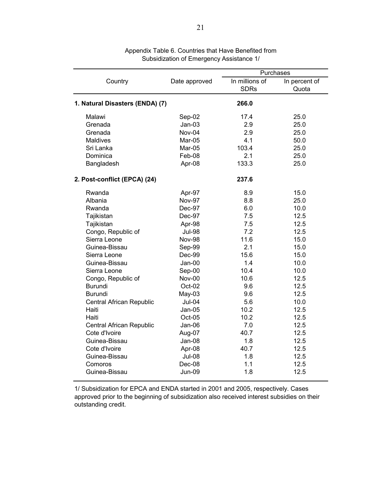|                                 |               | Purchases      |               |  |  |
|---------------------------------|---------------|----------------|---------------|--|--|
| Country                         | Date approved | In millions of | In percent of |  |  |
|                                 |               | <b>SDRs</b>    | Quota         |  |  |
|                                 |               |                |               |  |  |
| 1. Natural Disasters (ENDA) (7) |               | 266.0          |               |  |  |
| Malawi                          | Sep-02        | 17.4           | 25.0          |  |  |
| Grenada                         | $Jan-03$      | 2.9            | 25.0          |  |  |
| Grenada                         | Nov-04        | 2.9            | 25.0          |  |  |
| Maldives                        | Mar-05        | 4.1            | 50.0          |  |  |
| Sri Lanka                       | Mar-05        | 103.4          | 25.0          |  |  |
| Dominica                        | Feb-08        | 2.1            | 25.0          |  |  |
| Bangladesh                      | Apr-08        | 133.3          | 25.0          |  |  |
| 2. Post-conflict (EPCA) (24)    |               | 237.6          |               |  |  |
|                                 |               |                |               |  |  |
| Rwanda                          | Apr-97        | 8.9            | 15.0          |  |  |
| Albania                         | Nov-97        | 8.8            | 25.0          |  |  |
| Rwanda                          | Dec-97        | 6.0            | 10.0          |  |  |
| Tajikistan                      | Dec-97        | 7.5            | 12.5          |  |  |
| Tajikistan                      | Apr-98        | 7.5            | 12.5          |  |  |
| Congo, Republic of              | <b>Jul-98</b> | 7.2            | 12.5          |  |  |
| Sierra Leone                    | <b>Nov-98</b> | 11.6           | 15.0          |  |  |
| Guinea-Bissau                   | Sep-99        | 2.1            | 15.0          |  |  |
| Sierra Leone                    | Dec-99        | 15.6           | 15.0          |  |  |
| Guinea-Bissau                   | Jan-00        | 1.4            | 10.0          |  |  |
| Sierra Leone                    | Sep-00        | 10.4           | 10.0          |  |  |
| Congo, Republic of              | Nov-00        | 10.6           | 12.5          |  |  |
| <b>Burundi</b>                  | Oct-02        | 9.6            | 12.5          |  |  |
| <b>Burundi</b>                  | $May-03$      | 9.6            | 12.5          |  |  |
| Central African Republic        | Jul-04        | 5.6            | 10.0          |  |  |
| Haiti                           | $Jan-05$      | 10.2           | 12.5          |  |  |
| Haiti                           | Oct-05        | 10.2           | 12.5          |  |  |
| Central African Republic        | $Jan-06$      | 7.0            | 12.5          |  |  |
| Cote d'Ivoire                   | Aug-07        | 40.7           | 12.5          |  |  |
| Guinea-Bissau                   | $Jan-08$      | 1.8            | 12.5          |  |  |
| Cote d'Ivoire                   | Apr-08        | 40.7           | 12.5          |  |  |
| Guinea-Bissau                   | <b>Jul-08</b> | 1.8            | 12.5          |  |  |
| Comoros                         | Dec-08        | 1.1            | 12.5          |  |  |
| Guinea-Bissau                   | <b>Jun-09</b> | 1.8            | 12.5          |  |  |

Appendix Table 6. Countries that Have Benefited from Subsidization of Emergency Assistance 1/

1/ Subsidization for EPCA and ENDA started in 2001 and 2005, respectively. Cases approved prior to the beginning of subsidization also received interest subsidies on their outstanding credit.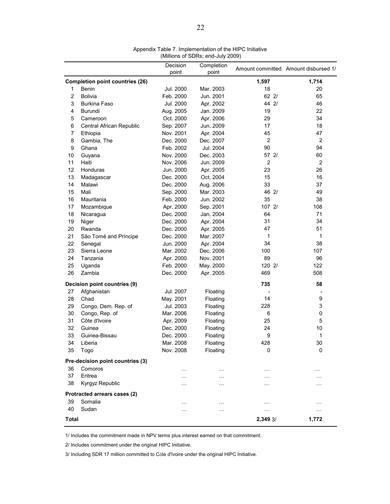| Decision<br>Completion<br>Amount committed Amount disbursed 1/<br>point<br>point<br><b>Completion point countries (26)</b><br>1,597<br>1,714<br>18<br><b>Benin</b><br>Jul. 2000<br>Mar. 2003<br>20<br>1<br>$\overline{2}$<br><b>Bolivia</b><br>$62$ $2/$<br>Feb. 2000<br>Jun. 2001<br>65<br>3<br><b>Burkina Faso</b><br>Jul. 2000<br>Apr. 2002<br>44 2/<br>46<br>4<br>Burundi<br>Aug. 2005<br>Jan. 2009<br>19<br>22<br>34<br>29<br>5<br>Oct. 2000<br>Apr. 2006<br>Cameroon<br>17<br>18<br>6<br>Central African Republic<br>Sep. 2007<br>Jun. 2009<br>$\overline{7}$<br>Apr. 2004<br>45<br>47<br>Ethiopia<br>Nov. 2001<br>8<br>$\overline{2}$<br>$\overline{2}$<br>Gambia, The<br>Dec. 2000<br>Dec. 2007<br>9<br>90<br>94<br>Ghana<br>Feb. 2002<br>Jul. 2004<br>10<br>57 2/<br>60<br>Nov. 2000<br>Dec. 2003<br>Guyana<br>11<br>Haiti<br>2<br>$\overline{2}$<br>Nov. 2006<br>Jun. 2009<br>23<br>26<br>12<br>Honduras<br>Jun. 2000<br>Apr. 2005<br>13<br>15<br>16<br>Dec. 2000<br>Oct. 2004<br>Madagascar<br>14<br>33<br>Malawi<br>Dec. 2000<br>Aug. 2006<br>37<br>15<br>46 2/<br>Mali<br>Mar. 2003<br>49<br>Sep. 2000<br>16<br>35<br>38<br>Mauritania<br>Feb. 2000<br>Jun. 2002<br>107 2/<br>17<br>Apr. 2000<br>Sep. 2001<br>108<br>Mozambique<br>18<br>Nicaragua<br>Dec. 2000<br>Jan. 2004<br>64<br>71<br>31<br>34<br>19<br>Niger<br>Dec. 2000<br>Apr. 2004<br>20<br>47<br>51<br>Rwanda<br>Dec. 2000<br>Apr. 2005<br>21<br>São Tomé and Príncipe<br>Mar. 2007<br>1<br>1<br>Dec. 2000<br>22<br>38<br>Senegal<br>Jun. 2000<br>Apr. 2004<br>34<br>23<br>107<br>Sierra Leone<br>Mar. 2002<br>Dec. 2006<br>100<br>24<br>89<br>96<br>Tanzania<br>Apr. 2000<br>Nov. 2001<br>120 2/<br>122<br>25<br>Uganda<br>Feb. 2000<br>May. 2000<br>508<br>26<br>Zambia<br>469<br>Dec. 2000<br>Apr. 2005<br>Decision point countries (9)<br>735<br>58<br>27<br>Afghanistan<br>Jul. 2007<br>Floating<br>28<br>Chad<br>May. 2001<br>14<br>9<br>Floating<br>29<br>228<br>3<br>Congo, Dem. Rep. of<br>Jul. 2003<br>Floating<br>30<br>Congo, Rep. of<br>Mar. 2006<br>6<br>0<br>Floating<br>Côte d'Ivoire<br>31<br>25<br>5<br>Apr. 2009<br>Floating<br>32<br>24<br>10<br>Dec. 2000<br>Guinea<br>Floating<br>9<br>1<br>33<br>Guinea-Bissau<br>Dec. 2000<br>Floating<br>428<br>30<br>34<br>Mar. 2008<br>Liberia<br>Floating<br>Nov. 2008<br>35<br>Togo<br>Floating<br>0<br>0 |
|-------------------------------------------------------------------------------------------------------------------------------------------------------------------------------------------------------------------------------------------------------------------------------------------------------------------------------------------------------------------------------------------------------------------------------------------------------------------------------------------------------------------------------------------------------------------------------------------------------------------------------------------------------------------------------------------------------------------------------------------------------------------------------------------------------------------------------------------------------------------------------------------------------------------------------------------------------------------------------------------------------------------------------------------------------------------------------------------------------------------------------------------------------------------------------------------------------------------------------------------------------------------------------------------------------------------------------------------------------------------------------------------------------------------------------------------------------------------------------------------------------------------------------------------------------------------------------------------------------------------------------------------------------------------------------------------------------------------------------------------------------------------------------------------------------------------------------------------------------------------------------------------------------------------------------------------------------------------------------------------------------------------------------------------------------------------------------------------------------------------------------------------------------------------------------------------------------------------------------------------------------------------------------------------------------------------------------------------------|
|                                                                                                                                                                                                                                                                                                                                                                                                                                                                                                                                                                                                                                                                                                                                                                                                                                                                                                                                                                                                                                                                                                                                                                                                                                                                                                                                                                                                                                                                                                                                                                                                                                                                                                                                                                                                                                                                                                                                                                                                                                                                                                                                                                                                                                                                                                                                                 |
|                                                                                                                                                                                                                                                                                                                                                                                                                                                                                                                                                                                                                                                                                                                                                                                                                                                                                                                                                                                                                                                                                                                                                                                                                                                                                                                                                                                                                                                                                                                                                                                                                                                                                                                                                                                                                                                                                                                                                                                                                                                                                                                                                                                                                                                                                                                                                 |
|                                                                                                                                                                                                                                                                                                                                                                                                                                                                                                                                                                                                                                                                                                                                                                                                                                                                                                                                                                                                                                                                                                                                                                                                                                                                                                                                                                                                                                                                                                                                                                                                                                                                                                                                                                                                                                                                                                                                                                                                                                                                                                                                                                                                                                                                                                                                                 |
|                                                                                                                                                                                                                                                                                                                                                                                                                                                                                                                                                                                                                                                                                                                                                                                                                                                                                                                                                                                                                                                                                                                                                                                                                                                                                                                                                                                                                                                                                                                                                                                                                                                                                                                                                                                                                                                                                                                                                                                                                                                                                                                                                                                                                                                                                                                                                 |
|                                                                                                                                                                                                                                                                                                                                                                                                                                                                                                                                                                                                                                                                                                                                                                                                                                                                                                                                                                                                                                                                                                                                                                                                                                                                                                                                                                                                                                                                                                                                                                                                                                                                                                                                                                                                                                                                                                                                                                                                                                                                                                                                                                                                                                                                                                                                                 |
|                                                                                                                                                                                                                                                                                                                                                                                                                                                                                                                                                                                                                                                                                                                                                                                                                                                                                                                                                                                                                                                                                                                                                                                                                                                                                                                                                                                                                                                                                                                                                                                                                                                                                                                                                                                                                                                                                                                                                                                                                                                                                                                                                                                                                                                                                                                                                 |
|                                                                                                                                                                                                                                                                                                                                                                                                                                                                                                                                                                                                                                                                                                                                                                                                                                                                                                                                                                                                                                                                                                                                                                                                                                                                                                                                                                                                                                                                                                                                                                                                                                                                                                                                                                                                                                                                                                                                                                                                                                                                                                                                                                                                                                                                                                                                                 |
|                                                                                                                                                                                                                                                                                                                                                                                                                                                                                                                                                                                                                                                                                                                                                                                                                                                                                                                                                                                                                                                                                                                                                                                                                                                                                                                                                                                                                                                                                                                                                                                                                                                                                                                                                                                                                                                                                                                                                                                                                                                                                                                                                                                                                                                                                                                                                 |
|                                                                                                                                                                                                                                                                                                                                                                                                                                                                                                                                                                                                                                                                                                                                                                                                                                                                                                                                                                                                                                                                                                                                                                                                                                                                                                                                                                                                                                                                                                                                                                                                                                                                                                                                                                                                                                                                                                                                                                                                                                                                                                                                                                                                                                                                                                                                                 |
|                                                                                                                                                                                                                                                                                                                                                                                                                                                                                                                                                                                                                                                                                                                                                                                                                                                                                                                                                                                                                                                                                                                                                                                                                                                                                                                                                                                                                                                                                                                                                                                                                                                                                                                                                                                                                                                                                                                                                                                                                                                                                                                                                                                                                                                                                                                                                 |
|                                                                                                                                                                                                                                                                                                                                                                                                                                                                                                                                                                                                                                                                                                                                                                                                                                                                                                                                                                                                                                                                                                                                                                                                                                                                                                                                                                                                                                                                                                                                                                                                                                                                                                                                                                                                                                                                                                                                                                                                                                                                                                                                                                                                                                                                                                                                                 |
|                                                                                                                                                                                                                                                                                                                                                                                                                                                                                                                                                                                                                                                                                                                                                                                                                                                                                                                                                                                                                                                                                                                                                                                                                                                                                                                                                                                                                                                                                                                                                                                                                                                                                                                                                                                                                                                                                                                                                                                                                                                                                                                                                                                                                                                                                                                                                 |
|                                                                                                                                                                                                                                                                                                                                                                                                                                                                                                                                                                                                                                                                                                                                                                                                                                                                                                                                                                                                                                                                                                                                                                                                                                                                                                                                                                                                                                                                                                                                                                                                                                                                                                                                                                                                                                                                                                                                                                                                                                                                                                                                                                                                                                                                                                                                                 |
|                                                                                                                                                                                                                                                                                                                                                                                                                                                                                                                                                                                                                                                                                                                                                                                                                                                                                                                                                                                                                                                                                                                                                                                                                                                                                                                                                                                                                                                                                                                                                                                                                                                                                                                                                                                                                                                                                                                                                                                                                                                                                                                                                                                                                                                                                                                                                 |
|                                                                                                                                                                                                                                                                                                                                                                                                                                                                                                                                                                                                                                                                                                                                                                                                                                                                                                                                                                                                                                                                                                                                                                                                                                                                                                                                                                                                                                                                                                                                                                                                                                                                                                                                                                                                                                                                                                                                                                                                                                                                                                                                                                                                                                                                                                                                                 |
|                                                                                                                                                                                                                                                                                                                                                                                                                                                                                                                                                                                                                                                                                                                                                                                                                                                                                                                                                                                                                                                                                                                                                                                                                                                                                                                                                                                                                                                                                                                                                                                                                                                                                                                                                                                                                                                                                                                                                                                                                                                                                                                                                                                                                                                                                                                                                 |
|                                                                                                                                                                                                                                                                                                                                                                                                                                                                                                                                                                                                                                                                                                                                                                                                                                                                                                                                                                                                                                                                                                                                                                                                                                                                                                                                                                                                                                                                                                                                                                                                                                                                                                                                                                                                                                                                                                                                                                                                                                                                                                                                                                                                                                                                                                                                                 |
|                                                                                                                                                                                                                                                                                                                                                                                                                                                                                                                                                                                                                                                                                                                                                                                                                                                                                                                                                                                                                                                                                                                                                                                                                                                                                                                                                                                                                                                                                                                                                                                                                                                                                                                                                                                                                                                                                                                                                                                                                                                                                                                                                                                                                                                                                                                                                 |
|                                                                                                                                                                                                                                                                                                                                                                                                                                                                                                                                                                                                                                                                                                                                                                                                                                                                                                                                                                                                                                                                                                                                                                                                                                                                                                                                                                                                                                                                                                                                                                                                                                                                                                                                                                                                                                                                                                                                                                                                                                                                                                                                                                                                                                                                                                                                                 |
|                                                                                                                                                                                                                                                                                                                                                                                                                                                                                                                                                                                                                                                                                                                                                                                                                                                                                                                                                                                                                                                                                                                                                                                                                                                                                                                                                                                                                                                                                                                                                                                                                                                                                                                                                                                                                                                                                                                                                                                                                                                                                                                                                                                                                                                                                                                                                 |
|                                                                                                                                                                                                                                                                                                                                                                                                                                                                                                                                                                                                                                                                                                                                                                                                                                                                                                                                                                                                                                                                                                                                                                                                                                                                                                                                                                                                                                                                                                                                                                                                                                                                                                                                                                                                                                                                                                                                                                                                                                                                                                                                                                                                                                                                                                                                                 |
|                                                                                                                                                                                                                                                                                                                                                                                                                                                                                                                                                                                                                                                                                                                                                                                                                                                                                                                                                                                                                                                                                                                                                                                                                                                                                                                                                                                                                                                                                                                                                                                                                                                                                                                                                                                                                                                                                                                                                                                                                                                                                                                                                                                                                                                                                                                                                 |
|                                                                                                                                                                                                                                                                                                                                                                                                                                                                                                                                                                                                                                                                                                                                                                                                                                                                                                                                                                                                                                                                                                                                                                                                                                                                                                                                                                                                                                                                                                                                                                                                                                                                                                                                                                                                                                                                                                                                                                                                                                                                                                                                                                                                                                                                                                                                                 |
|                                                                                                                                                                                                                                                                                                                                                                                                                                                                                                                                                                                                                                                                                                                                                                                                                                                                                                                                                                                                                                                                                                                                                                                                                                                                                                                                                                                                                                                                                                                                                                                                                                                                                                                                                                                                                                                                                                                                                                                                                                                                                                                                                                                                                                                                                                                                                 |
|                                                                                                                                                                                                                                                                                                                                                                                                                                                                                                                                                                                                                                                                                                                                                                                                                                                                                                                                                                                                                                                                                                                                                                                                                                                                                                                                                                                                                                                                                                                                                                                                                                                                                                                                                                                                                                                                                                                                                                                                                                                                                                                                                                                                                                                                                                                                                 |
|                                                                                                                                                                                                                                                                                                                                                                                                                                                                                                                                                                                                                                                                                                                                                                                                                                                                                                                                                                                                                                                                                                                                                                                                                                                                                                                                                                                                                                                                                                                                                                                                                                                                                                                                                                                                                                                                                                                                                                                                                                                                                                                                                                                                                                                                                                                                                 |
|                                                                                                                                                                                                                                                                                                                                                                                                                                                                                                                                                                                                                                                                                                                                                                                                                                                                                                                                                                                                                                                                                                                                                                                                                                                                                                                                                                                                                                                                                                                                                                                                                                                                                                                                                                                                                                                                                                                                                                                                                                                                                                                                                                                                                                                                                                                                                 |
|                                                                                                                                                                                                                                                                                                                                                                                                                                                                                                                                                                                                                                                                                                                                                                                                                                                                                                                                                                                                                                                                                                                                                                                                                                                                                                                                                                                                                                                                                                                                                                                                                                                                                                                                                                                                                                                                                                                                                                                                                                                                                                                                                                                                                                                                                                                                                 |
|                                                                                                                                                                                                                                                                                                                                                                                                                                                                                                                                                                                                                                                                                                                                                                                                                                                                                                                                                                                                                                                                                                                                                                                                                                                                                                                                                                                                                                                                                                                                                                                                                                                                                                                                                                                                                                                                                                                                                                                                                                                                                                                                                                                                                                                                                                                                                 |
|                                                                                                                                                                                                                                                                                                                                                                                                                                                                                                                                                                                                                                                                                                                                                                                                                                                                                                                                                                                                                                                                                                                                                                                                                                                                                                                                                                                                                                                                                                                                                                                                                                                                                                                                                                                                                                                                                                                                                                                                                                                                                                                                                                                                                                                                                                                                                 |
|                                                                                                                                                                                                                                                                                                                                                                                                                                                                                                                                                                                                                                                                                                                                                                                                                                                                                                                                                                                                                                                                                                                                                                                                                                                                                                                                                                                                                                                                                                                                                                                                                                                                                                                                                                                                                                                                                                                                                                                                                                                                                                                                                                                                                                                                                                                                                 |
|                                                                                                                                                                                                                                                                                                                                                                                                                                                                                                                                                                                                                                                                                                                                                                                                                                                                                                                                                                                                                                                                                                                                                                                                                                                                                                                                                                                                                                                                                                                                                                                                                                                                                                                                                                                                                                                                                                                                                                                                                                                                                                                                                                                                                                                                                                                                                 |
|                                                                                                                                                                                                                                                                                                                                                                                                                                                                                                                                                                                                                                                                                                                                                                                                                                                                                                                                                                                                                                                                                                                                                                                                                                                                                                                                                                                                                                                                                                                                                                                                                                                                                                                                                                                                                                                                                                                                                                                                                                                                                                                                                                                                                                                                                                                                                 |
|                                                                                                                                                                                                                                                                                                                                                                                                                                                                                                                                                                                                                                                                                                                                                                                                                                                                                                                                                                                                                                                                                                                                                                                                                                                                                                                                                                                                                                                                                                                                                                                                                                                                                                                                                                                                                                                                                                                                                                                                                                                                                                                                                                                                                                                                                                                                                 |
|                                                                                                                                                                                                                                                                                                                                                                                                                                                                                                                                                                                                                                                                                                                                                                                                                                                                                                                                                                                                                                                                                                                                                                                                                                                                                                                                                                                                                                                                                                                                                                                                                                                                                                                                                                                                                                                                                                                                                                                                                                                                                                                                                                                                                                                                                                                                                 |
|                                                                                                                                                                                                                                                                                                                                                                                                                                                                                                                                                                                                                                                                                                                                                                                                                                                                                                                                                                                                                                                                                                                                                                                                                                                                                                                                                                                                                                                                                                                                                                                                                                                                                                                                                                                                                                                                                                                                                                                                                                                                                                                                                                                                                                                                                                                                                 |
|                                                                                                                                                                                                                                                                                                                                                                                                                                                                                                                                                                                                                                                                                                                                                                                                                                                                                                                                                                                                                                                                                                                                                                                                                                                                                                                                                                                                                                                                                                                                                                                                                                                                                                                                                                                                                                                                                                                                                                                                                                                                                                                                                                                                                                                                                                                                                 |
|                                                                                                                                                                                                                                                                                                                                                                                                                                                                                                                                                                                                                                                                                                                                                                                                                                                                                                                                                                                                                                                                                                                                                                                                                                                                                                                                                                                                                                                                                                                                                                                                                                                                                                                                                                                                                                                                                                                                                                                                                                                                                                                                                                                                                                                                                                                                                 |
|                                                                                                                                                                                                                                                                                                                                                                                                                                                                                                                                                                                                                                                                                                                                                                                                                                                                                                                                                                                                                                                                                                                                                                                                                                                                                                                                                                                                                                                                                                                                                                                                                                                                                                                                                                                                                                                                                                                                                                                                                                                                                                                                                                                                                                                                                                                                                 |
| Pre-decision point countries (3)                                                                                                                                                                                                                                                                                                                                                                                                                                                                                                                                                                                                                                                                                                                                                                                                                                                                                                                                                                                                                                                                                                                                                                                                                                                                                                                                                                                                                                                                                                                                                                                                                                                                                                                                                                                                                                                                                                                                                                                                                                                                                                                                                                                                                                                                                                                |
| 36<br>Comoros<br>$\cdots$<br>.                                                                                                                                                                                                                                                                                                                                                                                                                                                                                                                                                                                                                                                                                                                                                                                                                                                                                                                                                                                                                                                                                                                                                                                                                                                                                                                                                                                                                                                                                                                                                                                                                                                                                                                                                                                                                                                                                                                                                                                                                                                                                                                                                                                                                                                                                                                  |
| 37<br>Eritrea<br>$\cdots$<br>$\sim$                                                                                                                                                                                                                                                                                                                                                                                                                                                                                                                                                                                                                                                                                                                                                                                                                                                                                                                                                                                                                                                                                                                                                                                                                                                                                                                                                                                                                                                                                                                                                                                                                                                                                                                                                                                                                                                                                                                                                                                                                                                                                                                                                                                                                                                                                                             |
| 38<br>Kyrgyz Republic<br>$\cdots$<br>$\cdots$<br>$\ddotsc$<br>.                                                                                                                                                                                                                                                                                                                                                                                                                                                                                                                                                                                                                                                                                                                                                                                                                                                                                                                                                                                                                                                                                                                                                                                                                                                                                                                                                                                                                                                                                                                                                                                                                                                                                                                                                                                                                                                                                                                                                                                                                                                                                                                                                                                                                                                                                 |
| Protracted arrears cases (2)                                                                                                                                                                                                                                                                                                                                                                                                                                                                                                                                                                                                                                                                                                                                                                                                                                                                                                                                                                                                                                                                                                                                                                                                                                                                                                                                                                                                                                                                                                                                                                                                                                                                                                                                                                                                                                                                                                                                                                                                                                                                                                                                                                                                                                                                                                                    |
| Somalia<br>39<br>$\cdots$<br>.<br>$\cdots$<br>$\sim$                                                                                                                                                                                                                                                                                                                                                                                                                                                                                                                                                                                                                                                                                                                                                                                                                                                                                                                                                                                                                                                                                                                                                                                                                                                                                                                                                                                                                                                                                                                                                                                                                                                                                                                                                                                                                                                                                                                                                                                                                                                                                                                                                                                                                                                                                            |
| 40<br>Sudan<br>$\cdots$<br>$\cdots$<br>$\sim$                                                                                                                                                                                                                                                                                                                                                                                                                                                                                                                                                                                                                                                                                                                                                                                                                                                                                                                                                                                                                                                                                                                                                                                                                                                                                                                                                                                                                                                                                                                                                                                                                                                                                                                                                                                                                                                                                                                                                                                                                                                                                                                                                                                                                                                                                                   |
| <b>Total</b><br>2,349 3/<br>1,772                                                                                                                                                                                                                                                                                                                                                                                                                                                                                                                                                                                                                                                                                                                                                                                                                                                                                                                                                                                                                                                                                                                                                                                                                                                                                                                                                                                                                                                                                                                                                                                                                                                                                                                                                                                                                                                                                                                                                                                                                                                                                                                                                                                                                                                                                                               |

Appendix Table 7. Implementation of the HIPC Initiative (Millions of SDRs; end-July 2009)

1/ Includes the commitment made in NPV terms plus interest earned on that commitment.

2/ Includes commitment under the original HIPC Initiative.

3/ Including SDR 17 million committed to Côte d'Ivoire under the original HIPC Initiative.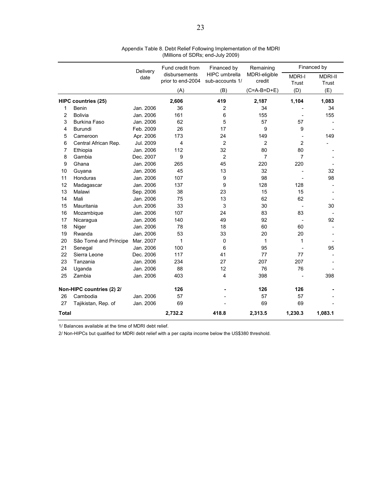|       |                            | Delivery  | Fund credit from                   | Financed by                             | Remaining               | Financed by            |                         |  |
|-------|----------------------------|-----------|------------------------------------|-----------------------------------------|-------------------------|------------------------|-------------------------|--|
|       |                            | date      | disbursements<br>prior to end-2004 | <b>HIPC</b> umbrella<br>sub-accounts 1/ | MDRI-eligible<br>credit | <b>MDRI-I</b><br>Trust | <b>MDRI-II</b><br>Trust |  |
|       |                            |           | (A)                                | (B)                                     | $(C=A-B=D+E)$           | (D)                    | (E)                     |  |
|       | <b>HIPC countries (25)</b> |           | 2,606                              | 419                                     | 2,187                   | 1,104                  | 1,083                   |  |
| 1     | Benin                      | Jan. 2006 | 36                                 | $\overline{2}$                          | 34                      |                        | 34                      |  |
| 2     | Bolivia                    | Jan. 2006 | 161                                | 6                                       | 155                     |                        | 155                     |  |
| 3     | <b>Burkina Faso</b>        | Jan. 2006 | 62                                 | 5                                       | 57                      | 57                     |                         |  |
| 4     | Burundi                    | Feb. 2009 | 26                                 | 17                                      | 9                       | 9                      |                         |  |
| 5     | Cameroon                   | Apr. 2006 | 173                                | 24                                      | 149                     |                        | 149                     |  |
| 6     | Central African Rep.       | Jul. 2009 | 4                                  | $\overline{2}$                          | $\overline{2}$          | $\overline{2}$         |                         |  |
| 7     | Ethiopia                   | Jan. 2006 | 112                                | 32                                      | 80                      | 80                     |                         |  |
| 8     | Gambia                     | Dec. 2007 | 9                                  | $\overline{2}$                          | $\overline{7}$          | $\overline{7}$         |                         |  |
| 9     | Ghana                      | Jan. 2006 | 265                                | 45                                      | 220                     | 220                    |                         |  |
| 10    | Guyana                     | Jan. 2006 | 45                                 | 13                                      | 32                      |                        | 32                      |  |
| 11    | Honduras                   | Jan. 2006 | 107                                | 9                                       | 98                      |                        | 98                      |  |
| 12    | Madagascar                 | Jan. 2006 | 137                                | 9                                       | 128                     | 128                    |                         |  |
| 13    | Malawi                     | Sep. 2006 | 38                                 | 23                                      | 15                      | 15                     |                         |  |
| 14    | Mali                       | Jan. 2006 | 75                                 | 13                                      | 62                      | 62                     |                         |  |
| 15    | Mauritania                 | Jun. 2006 | 33                                 | 3                                       | 30                      |                        | 30                      |  |
| 16    | Mozambique                 | Jan. 2006 | 107                                | 24                                      | 83                      | 83                     |                         |  |
| 17    | Nicaragua                  | Jan. 2006 | 140                                | 49                                      | 92                      |                        | 92                      |  |
| 18    | Niger                      | Jan. 2006 | 78                                 | 18                                      | 60                      | 60                     |                         |  |
| 19    | Rwanda                     | Jan. 2006 | 53                                 | 33                                      | 20                      | 20                     |                         |  |
| 20    | São Tomé and Príncipe      | Mar. 2007 | $\mathbf{1}$                       | 0                                       | 1                       | 1                      |                         |  |
| 21    | Senegal                    | Jan. 2006 | 100                                | 6                                       | 95                      |                        | 95                      |  |
| 22    | Sierra Leone               | Dec. 2006 | 117                                | 41                                      | 77                      | 77                     |                         |  |
| 23    | Tanzania                   | Jan. 2006 | 234                                | 27                                      | 207                     | 207                    |                         |  |
| 24    | Uganda                     | Jan. 2006 | 88                                 | 12                                      | 76                      | 76                     |                         |  |
| 25    | Zambia                     | Jan. 2006 | 403                                | 4                                       | 398                     |                        | 398                     |  |
|       | Non-HIPC countries (2) 2/  |           | 126                                |                                         | 126                     | 126                    |                         |  |
| 26    | Cambodia                   | Jan. 2006 | 57                                 |                                         | 57                      | 57                     |                         |  |
| 27    | Tajikistan, Rep. of        | Jan. 2006 | 69                                 |                                         | 69                      | 69                     |                         |  |
| Total |                            |           | 2,732.2                            | 418.8                                   | 2,313.5                 | 1,230.3                | 1,083.1                 |  |

Appendix Table 8. Debt Relief Following Implementation of the MDRI (Millions of SDRs; end-July 2009)

1/ Balances available at the time of MDRI debt relief.

2/ Non-HIPCs but qualified for MDRI debt relief with a per capita income below the US\$380 threshold.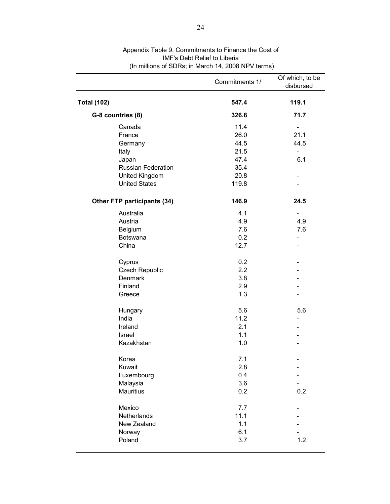|                             | Commitments 1/ | Of which, to be<br>disbursed |
|-----------------------------|----------------|------------------------------|
| <b>Total (102)</b>          | 547.4          | 119.1                        |
| G-8 countries (8)           | 326.8          | 71.7                         |
| Canada                      | 11.4           |                              |
| France                      | 26.0           | 21.1                         |
| Germany                     | 44.5           | 44.5                         |
| Italy                       | 21.5           | $\overline{\phantom{0}}$     |
| Japan                       | 47.4           | 6.1                          |
| <b>Russian Federation</b>   | 35.4           |                              |
| United Kingdom              | 20.8           |                              |
| <b>United States</b>        | 119.8          |                              |
| Other FTP participants (34) | 146.9          | 24.5                         |
| Australia                   | 4.1            |                              |
| Austria                     | 4.9            | 4.9                          |
| Belgium                     | 7.6            | 7.6                          |
| Botswana                    | 0.2            | -                            |
| China                       | 12.7           |                              |
| Cyprus                      | 0.2            |                              |
| <b>Czech Republic</b>       | 2.2            |                              |
| Denmark                     | 3.8            |                              |
| Finland                     | 2.9            |                              |
| Greece                      | 1.3            |                              |
| Hungary                     | 5.6            | 5.6                          |
| India                       | 11.2           |                              |
| Ireland                     | 2.1            |                              |
| Israel                      | 1.1            |                              |
| Kazakhstan                  | 1.0            |                              |
| Korea                       | 7.1            |                              |
| Kuwait                      | 2.8            |                              |
| Luxembourg                  | 0.4            |                              |
| Malaysia                    | 3.6            |                              |
| <b>Mauritius</b>            | 0.2            | 0.2                          |
| Mexico                      | 7.7            |                              |
| Netherlands                 | 11.1           |                              |
| New Zealand                 | 1.1            |                              |
| Norway                      | 6.1            |                              |
| Poland                      | 3.7            | 1.2                          |

#### Appendix Table 9. Commitments to Finance the Cost of IMF's Debt Relief to Liberia (In millions of SDRs; in March 14, 2008 NPV terms)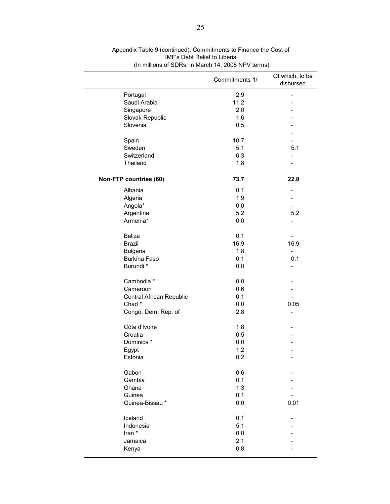|                          | Commitments 1/ | Of which, to be<br>disbursed |
|--------------------------|----------------|------------------------------|
| Portugal                 | 2.9            | $\overline{a}$               |
| Saudi Arabia             | 11.2           |                              |
| Singapore                | 2.0            |                              |
| Slovak Republic          | 1.6            |                              |
| Slovenia                 | 0.5            |                              |
|                          |                |                              |
| Spain                    | 10.7           |                              |
| Sweden                   | 5.1            | 5.1                          |
| Switzerland              | 6.3            |                              |
| Thailand                 | 1.8            |                              |
| Non-FTP countries (60)   | 73.7           | 22.8                         |
| Albania                  | 0.1            |                              |
| Algeria                  | 1.9            |                              |
| Angola*                  | 0.0            |                              |
| Argentina                | 5.2            | 5.2                          |
| Armenia*                 | 0.0            | $\overline{\phantom{0}}$     |
|                          |                |                              |
| <b>Belize</b>            | 0.1            |                              |
| <b>Brazil</b>            | 16.9           | 16.9                         |
| <b>Bulgaria</b>          | 1.8            |                              |
| <b>Burkina Faso</b>      | 0.1            | 0.1                          |
| Burundi *                | 0.0            |                              |
| Cambodia *               | 0.0            |                              |
| Cameroon                 | 0.6            |                              |
| Central African Republic | 0.1            |                              |
| Chad*                    | 0.0            | 0.05                         |
| Congo, Dem. Rep. of      | 2.8            |                              |
| Côte d'Ivoire            | 1.8            |                              |
| Croatia                  | 0.5            |                              |
| Dominica *               | 0.0            |                              |
| Egypt                    | 1.2            |                              |
| Estonia                  | 0.2            |                              |
| Gabon                    | 0.6            |                              |
| Gambia                   | 0.1            |                              |
| Ghana                    | 1.3            |                              |
| Guinea                   | 0.1            |                              |
| Guinea-Bissau*           | 0.0            | 0.01                         |
| Iceland                  | 0.1            |                              |
| Indonesia                | 5.1            |                              |
| Iran *                   | 0.0            |                              |
| Jamaica                  | 2.1            |                              |
| Kenya                    | 0.8            |                              |
|                          |                |                              |

Appendix Table 9 (continued). Commitments to Finance the Cost of IMF's Debt Relief to Liberia (In millions of SDRs; in March 14, 2008 NPV terms)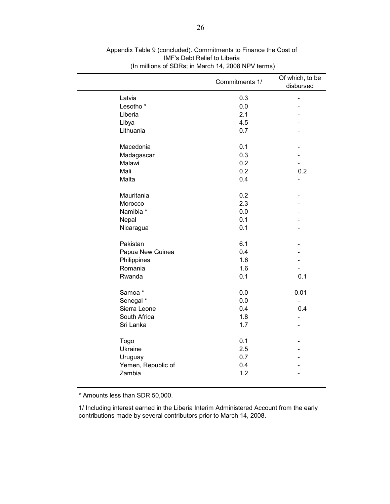|                      | Commitments 1/ | Of which, to be<br>disbursed |
|----------------------|----------------|------------------------------|
| Latvia               | 0.3            | $\blacksquare$               |
| Lesotho <sup>*</sup> | 0.0            |                              |
| Liberia              | 2.1            |                              |
| Libya                | 4.5            |                              |
| Lithuania            | 0.7            |                              |
| Macedonia            | 0.1            |                              |
| Madagascar           | 0.3            |                              |
| Malawi               | 0.2            |                              |
| Mali                 | 0.2            | 0.2                          |
| Malta                | 0.4            |                              |
| Mauritania           | 0.2            |                              |
| Morocco              | 2.3            |                              |
| Namibia *            | 0.0            |                              |
| Nepal                | 0.1            |                              |
| Nicaragua            | 0.1            |                              |
| Pakistan             | 6.1            |                              |
| Papua New Guinea     | 0.4            |                              |
| Philippines          | 1.6            |                              |
| Romania              | 1.6            |                              |
| Rwanda               | 0.1            | 0.1                          |
| Samoa*               | 0.0            | 0.01                         |
| Senegal *            | 0.0            |                              |
| Sierra Leone         | 0.4            | 0.4                          |
| South Africa         | 1.8            |                              |
| Sri Lanka            | 1.7            |                              |
| Togo                 | 0.1            |                              |
| Ukraine              | 2.5            |                              |
| Uruguay              | 0.7            |                              |
| Yemen, Republic of   | 0.4            |                              |
| Zambia               | 1.2            |                              |

Appendix Table 9 (concluded). Commitments to Finance the Cost of IMF's Debt Relief to Liberia (In millions of SDRs; in March 14, 2008 NPV terms)

\* Amounts less than SDR 50,000.

1/ Including interest earned in the Liberia Interim Administered Account from the early contributions made by several contributors prior to March 14, 2008.